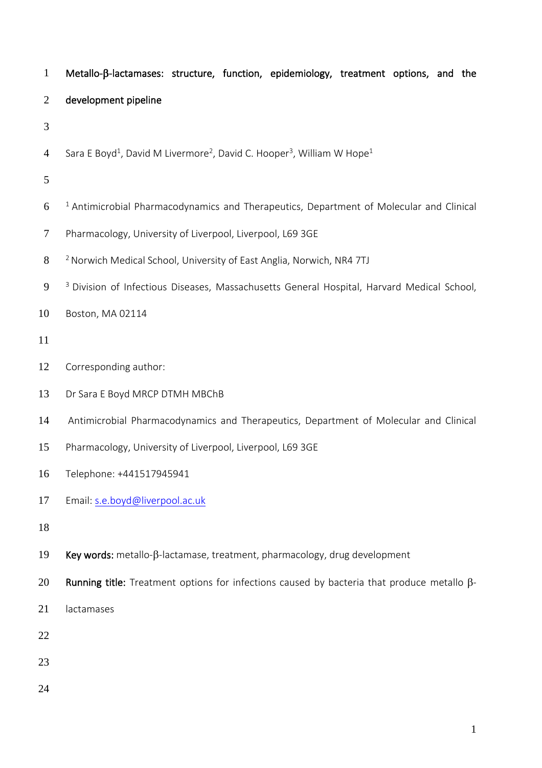| $\mathbf{1}$     | Metallo-ß-lactamases: structure, function, epidemiology, treatment options, and the                                    |
|------------------|------------------------------------------------------------------------------------------------------------------------|
| $\overline{2}$   | development pipeline                                                                                                   |
| 3                |                                                                                                                        |
| $\overline{4}$   | Sara E Boyd <sup>1</sup> , David M Livermore <sup>2</sup> , David C. Hooper <sup>3</sup> , William W Hope <sup>1</sup> |
| 5                |                                                                                                                        |
| 6                | <sup>1</sup> Antimicrobial Pharmacodynamics and Therapeutics, Department of Molecular and Clinical                     |
| $\boldsymbol{7}$ | Pharmacology, University of Liverpool, Liverpool, L69 3GE                                                              |
| 8                | <sup>2</sup> Norwich Medical School, University of East Anglia, Norwich, NR4 7TJ                                       |
| 9                | <sup>3</sup> Division of Infectious Diseases, Massachusetts General Hospital, Harvard Medical School,                  |
| 10               | Boston, MA 02114                                                                                                       |
| 11               |                                                                                                                        |
| 12               | Corresponding author:                                                                                                  |
| 13               | Dr Sara E Boyd MRCP DTMH MBChB                                                                                         |
| 14               | Antimicrobial Pharmacodynamics and Therapeutics, Department of Molecular and Clinical                                  |
| 15               | Pharmacology, University of Liverpool, Liverpool, L69 3GE                                                              |
| 16               | Telephone: +441517945941                                                                                               |
| 17               | Email: s.e.boyd@liverpool.ac.uk                                                                                        |
| 18               |                                                                                                                        |
| 19               | Key words: metallo-ß-lactamase, treatment, pharmacology, drug development                                              |
| 20               | Running title: Treatment options for infections caused by bacteria that produce metallo $\beta$ -                      |
| 21               | lactamases                                                                                                             |
| 22               |                                                                                                                        |
| 23               |                                                                                                                        |
| 24               |                                                                                                                        |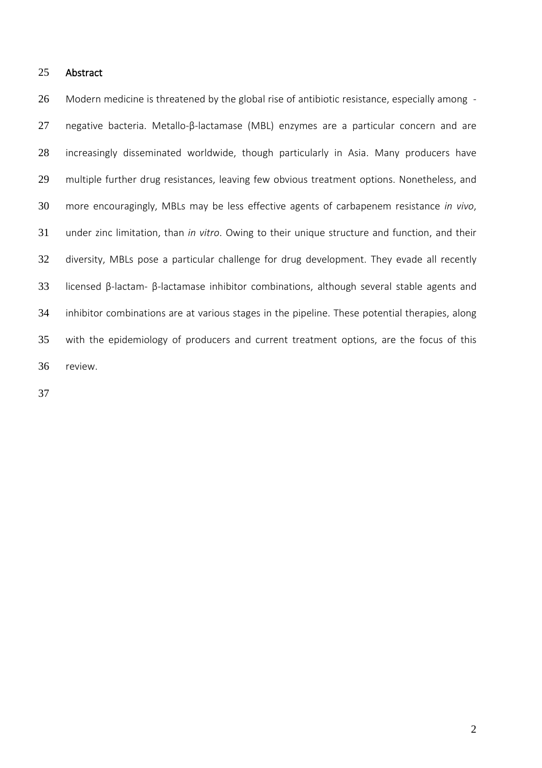## Abstract

 Modern medicine is threatened by the global rise of antibiotic resistance, especially among - negative bacteria. Metallo-β-lactamase (MBL) enzymes are a particular concern and are increasingly disseminated worldwide, though particularly in Asia. Many producers have 29 multiple further drug resistances, leaving few obvious treatment options. Nonetheless, and more encouragingly, MBLs may be less effective agents of carbapenem resistance *in vivo*, under zinc limitation, than *in vitro*. Owing to their unique structure and function, and their diversity, MBLs pose a particular challenge for drug development. They evade all recently licensed β-lactam- β-lactamase inhibitor combinations, although several stable agents and inhibitor combinations are at various stages in the pipeline. These potential therapies, along with the epidemiology of producers and current treatment options, are the focus of this review.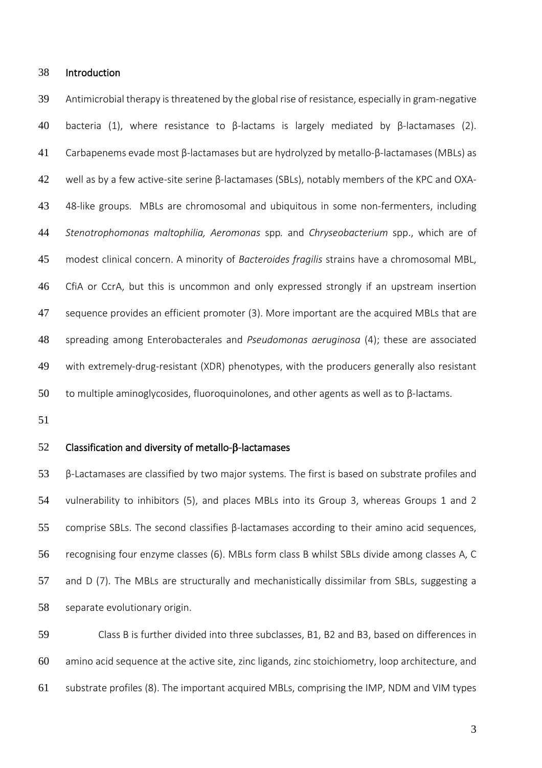#### Introduction

 Antimicrobial therapy is threatened by the global rise of resistance, especially in gram-negative 40 bacteria (1), where resistance to β-lactams is largely mediated by β-lactamases (2). Carbapenems evade most β-lactamases but are hydrolyzed by metallo-β-lactamases (MBLs) as well as by a few active-site serine β-lactamases (SBLs), notably members of the KPC and OXA- 48-like groups. MBLs are chromosomal and ubiquitous in some non-fermenters, including *Stenotrophomonas maltophilia, Aeromonas* spp*.* and *Chryseobacterium* spp., which are of modest clinical concern. A minority of *Bacteroides fragilis* strains have a chromosomal MBL, CfiA or CcrA, but this is uncommon and only expressed strongly if an upstream insertion sequence provides an efficient promoter (3). More important are the acquired MBLs that are spreading among Enterobacterales and *Pseudomonas aeruginosa* (4); these are associated with extremely-drug-resistant (XDR) phenotypes, with the producers generally also resistant 50 to multiple aminoglycosides, fluoroquinolones, and other agents as well as to β-lactams.

# Classification and diversity of metallo- $\beta$ -lactamases

 β-Lactamases are classified by two major systems. The first is based on substrate profiles and vulnerability to inhibitors (5), and places MBLs into its Group 3, whereas Groups 1 and 2 55 comprise SBLs. The second classifies  $β$ -lactamases according to their amino acid sequences, recognising four enzyme classes (6). MBLs form class B whilst SBLs divide among classes A, C and D (7). The MBLs are structurally and mechanistically dissimilar from SBLs, suggesting a 58 separate evolutionary origin.

 Class B is further divided into three subclasses, B1, B2 and B3, based on differences in amino acid sequence at the active site, zinc ligands, zinc stoichiometry, loop architecture, and substrate profiles (8). The important acquired MBLs, comprising the IMP, NDM and VIM types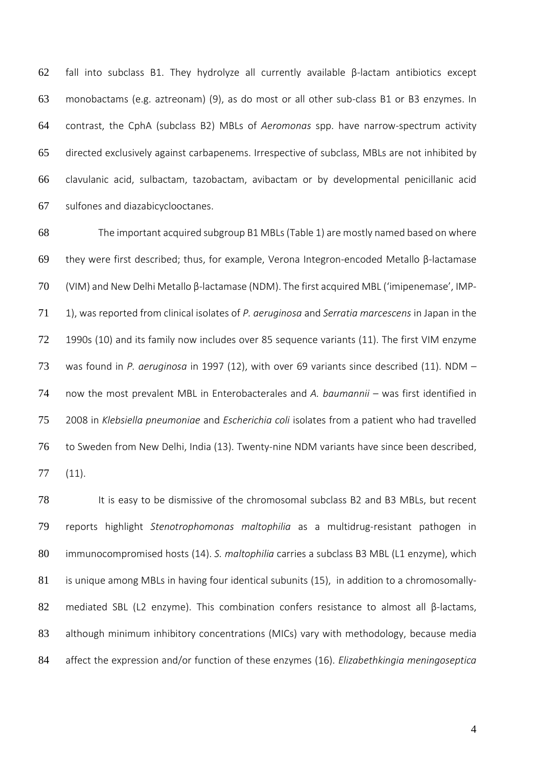fall into subclass B1. They hydrolyze all currently available β-lactam antibiotics except monobactams (e.g. aztreonam) (9), as do most or all other sub-class B1 or B3 enzymes. In contrast, the CphA (subclass B2) MBLs of *Aeromonas* spp. have narrow-spectrum activity directed exclusively against carbapenems. Irrespective of subclass, MBLs are not inhibited by clavulanic acid, sulbactam, tazobactam, avibactam or by developmental penicillanic acid sulfones and diazabicyclooctanes.

 The important acquired subgroup B1 MBLs (Table 1) are mostly named based on where they were first described; thus, for example, Verona Integron-encoded Metallo β-lactamase (VIM) and New Delhi Metallo β-lactamase (NDM). The first acquired MBL ('imipenemase', IMP- 1), was reported from clinical isolates of *P. aeruginosa* and *Serratia marcescens* in Japan in the 1990s (10) and its family now includes over 85 sequence variants (11). The first VIM enzyme was found in *P. aeruginosa* in 1997 (12), with over 69 variants since described (11). NDM – now the most prevalent MBL in Enterobacterales and *A. baumannii* – was first identified in 2008 in *Klebsiella pneumoniae* and *Escherichia coli* isolates from a patient who had travelled to Sweden from New Delhi, India (13). Twenty-nine NDM variants have since been described, (11).

78 It is easy to be dismissive of the chromosomal subclass B2 and B3 MBLs, but recent reports highlight *Stenotrophomonas maltophilia* as a multidrug-resistant pathogen in immunocompromised hosts (14). *S. maltophilia* carries a subclass B3 MBL (L1 enzyme), which 81 is unique among MBLs in having four identical subunits (15), in addition to a chromosomally- mediated SBL (L2 enzyme). This combination confers resistance to almost all β-lactams, although minimum inhibitory concentrations (MICs) vary with methodology, because media affect the expression and/or function of these enzymes (16). *Elizabethkingia meningoseptica*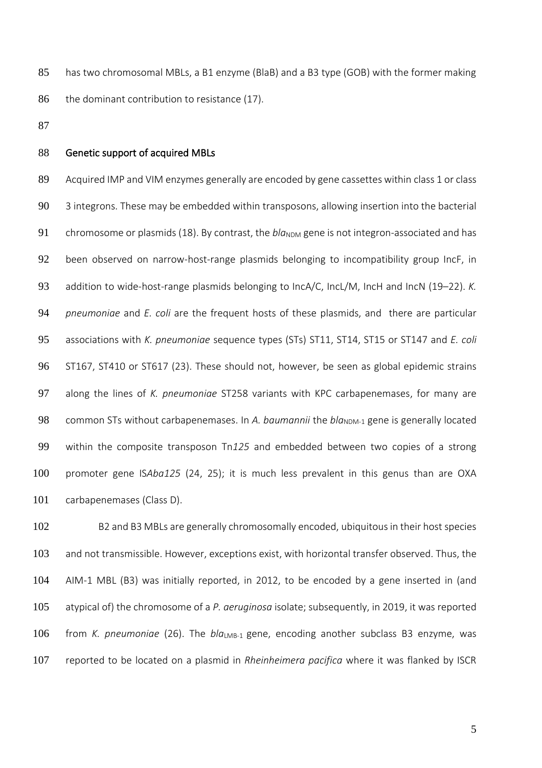has two chromosomal MBLs, a B1 enzyme (BlaB) and a B3 type (GOB) with the former making 86 the dominant contribution to resistance (17).

#### Genetic support of acquired MBLs

89 Acquired IMP and VIM enzymes generally are encoded by gene cassettes within class 1 or class 90 3 integrons. These may be embedded within transposons, allowing insertion into the bacterial 91 chromosome or plasmids (18). By contrast, the *bla*<sub>NDM</sub> gene is not integron-associated and has been observed on narrow-host-range plasmids belonging to incompatibility group IncF, in addition to wide-host-range plasmids belonging to IncA/C, IncL/M, IncH and IncN (19–22). *K. pneumoniae* and *E. coli* are the frequent hosts of these plasmids, and there are particular associations with *K. pneumoniae* sequence types (STs) ST11, ST14, ST15 or ST147 and *E. coli*  ST167, ST410 or ST617 (23). These should not, however, be seen as global epidemic strains along the lines of *K. pneumoniae* ST258 variants with KPC carbapenemases, for many are 98 common STs without carbapenemases. In A. baumannii the bla<sub>NDM-1</sub> gene is generally located within the composite transposon Tn*125* and embedded between two copies of a strong promoter gene IS*Aba125* (24, 25); it is much less prevalent in this genus than are OXA 101 carbapenemases (Class D).

 B2 and B3 MBLs are generally chromosomally encoded, ubiquitous in their host species and not transmissible. However, exceptions exist, with horizontal transfer observed. Thus, the AIM-1 MBL (B3) was initially reported, in 2012, to be encoded by a gene inserted in (and atypical of) the chromosome of a *P. aeruginosa* isolate; subsequently, in 2019, it was reported 106 from *K. pneumoniae* (26). The *bla*<sub>LMB-1</sub> gene, encoding another subclass B3 enzyme, was reported to be located on a plasmid in *Rheinheimera pacifica* where it was flanked by ISCR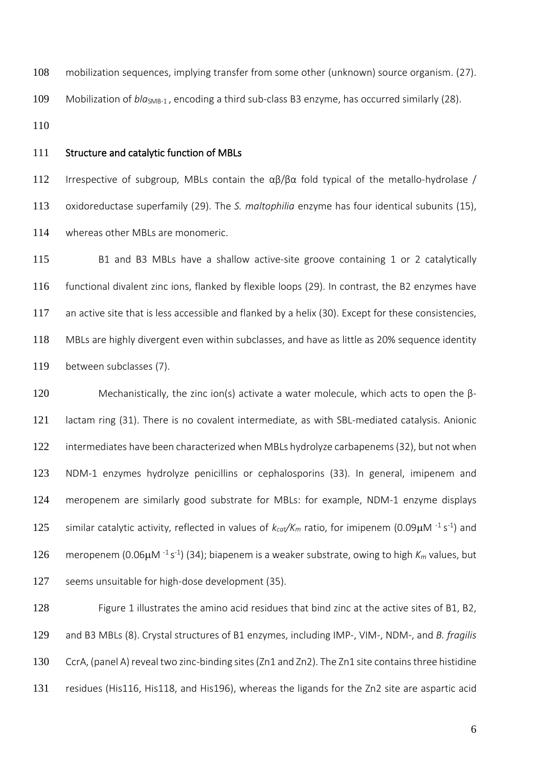mobilization sequences, implying transfer from some other (unknown) source organism. (27). 109 Mobilization of *bla*<sub>SMB-1</sub>, encoding a third sub-class B3 enzyme, has occurred similarly (28). 

Structure and catalytic function of MBLs

112 Irrespective of subgroup, MBLs contain the  $\alpha\beta/\beta\alpha$  fold typical of the metallo-hydrolase / oxidoreductase superfamily (29). The *S. maltophilia* enzyme has four identical subunits (15), whereas other MBLs are monomeric.

 B1 and B3 MBLs have a shallow active-site groove containing 1 or 2 catalytically functional divalent zinc ions, flanked by flexible loops (29). In contrast, the B2 enzymes have 117 an active site that is less accessible and flanked by a helix (30). Except for these consistencies, MBLs are highly divergent even within subclasses, and have as little as 20% sequence identity between subclasses (7).

120 Mechanistically, the zinc ion(s) activate a water molecule, which acts to open the β- lactam ring (31). There is no covalent intermediate, as with SBL-mediated catalysis. Anionic intermediates have been characterized when MBLs hydrolyze carbapenems(32), but not when NDM-1 enzymes hydrolyze penicillins or cephalosporins (33). In general, imipenem and meropenem are similarly good substrate for MBLs: for example, NDM-1 enzyme displays 125 similar catalytic activity, reflected in values of  $k_{cat}/K_m$  ratio, for imipenem (0.09 $\mu$ M <sup>-1</sup> s<sup>-1</sup>) and 126 meropenem (0.06μM<sup>-1</sup>s<sup>-1</sup>) (34); biapenem is a weaker substrate, owing to high *K<sub>m</sub>* values, but seems unsuitable for high-dose development (35).

 Figure 1 illustrates the amino acid residues that bind zinc at the active sites of B1, B2, and B3 MBLs (8). Crystal structures of B1 enzymes, including IMP-, VIM-, NDM-, and *B. fragilis* 130 CcrA, (panel A) reveal two zinc-binding sites (Zn1 and Zn2). The Zn1 site contains three histidine residues (His116, His118, and His196), whereas the ligands for the Zn2 site are aspartic acid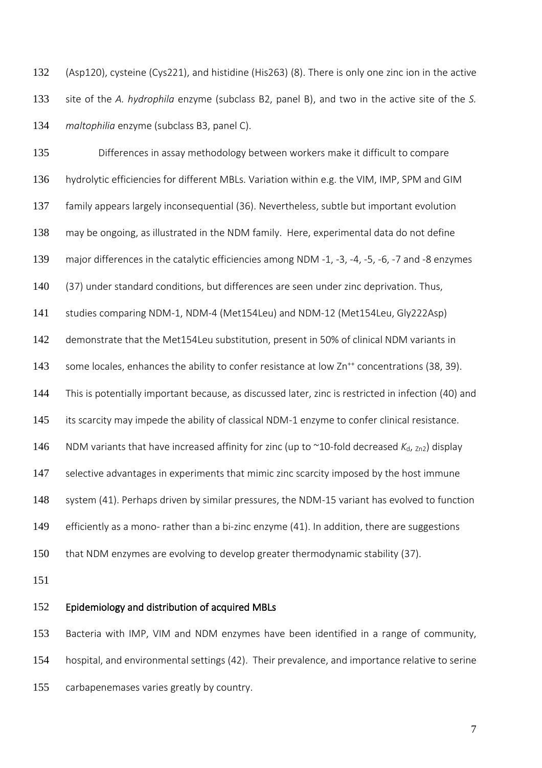(Asp120), cysteine (Cys221), and histidine (His263) (8). There is only one zinc ion in the active site of the *A. hydrophila* enzyme (subclass B2, panel B), and two in the active site of the *S. maltophilia* enzyme (subclass B3, panel C).

 Differences in assay methodology between workers make it difficult to compare hydrolytic efficiencies for different MBLs. Variation within e.g. the VIM, IMP, SPM and GIM family appears largely inconsequential (36). Nevertheless, subtle but important evolution may be ongoing, as illustrated in the NDM family. Here, experimental data do not define major differences in the catalytic efficiencies among NDM -1, -3, -4, -5, -6, -7 and -8 enzymes (37) under standard conditions, but differences are seen under zinc deprivation. Thus, studies comparing NDM-1, NDM-4 (Met154Leu) and NDM-12 (Met154Leu, Gly222Asp) demonstrate that the Met154Leu substitution, present in 50% of clinical NDM variants in 143 some locales, enhances the ability to confer resistance at low Zn<sup>++</sup> concentrations (38, 39). This is potentially important because, as discussed later, zinc is restricted in infection (40) and 145 its scarcity may impede the ability of classical NDM-1 enzyme to confer clinical resistance. 146 NDM variants that have increased affinity for zinc (up to  $\sim$ 10-fold decreased  $K_{d}$ ,  $_{Zn2}$ ) display 147 selective advantages in experiments that mimic zinc scarcity imposed by the host immune 148 system (41). Perhaps driven by similar pressures, the NDM-15 variant has evolved to function efficiently as a mono- rather than a bi-zinc enzyme (41). In addition, there are suggestions that NDM enzymes are evolving to develop greater thermodynamic stability (37). 

Epidemiology and distribution of acquired MBLs

 Bacteria with IMP, VIM and NDM enzymes have been identified in a range of community, hospital, and environmental settings (42). Their prevalence, and importance relative to serine carbapenemases varies greatly by country.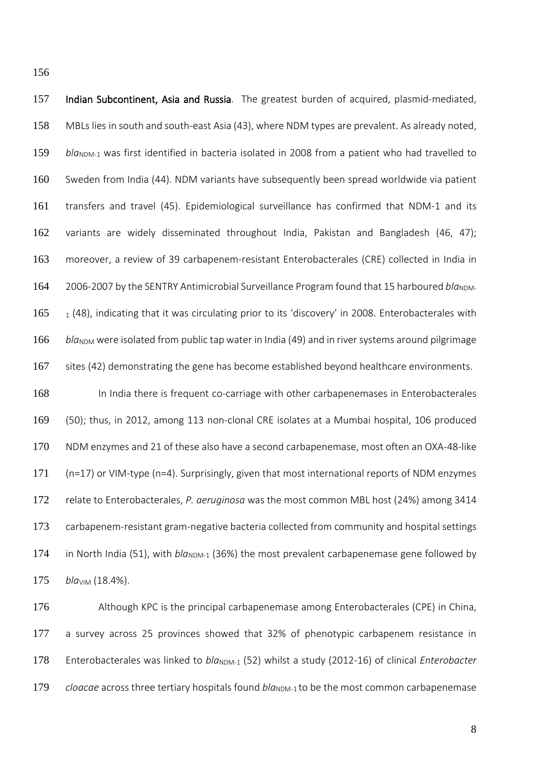156

157 Indian Subcontinent, Asia and Russia. The greatest burden of acquired, plasmid-mediated, 158 MBLs lies in south and south-east Asia (43), where NDM types are prevalent. As already noted, 159 *bla<sub>NDM-1</sub>* was first identified in bacteria isolated in 2008 from a patient who had travelled to 160 Sweden from India (44). NDM variants have subsequently been spread worldwide via patient 161 transfers and travel (45). Epidemiological surveillance has confirmed that NDM-1 and its 162 variants are widely disseminated throughout India, Pakistan and Bangladesh (46, 47); 163 moreover, a review of 39 carbapenem-resistant Enterobacterales (CRE) collected in India in 164 2006-2007 by the SENTRY Antimicrobial Surveillance Program found that 15 harboured *bla*<sub>NDM-</sub> 165  $165$  1 (48), indicating that it was circulating prior to its 'discovery' in 2008. Enterobacterales with 166 *bla*<sub>NDM</sub> were isolated from public tap water in India (49) and in river systems around pilgrimage 167 sites (42) demonstrating the gene has become established beyond healthcare environments. 168 In India there is frequent co-carriage with other carbapenemases in Enterobacterales 169 (50); thus, in 2012, among 113 non-clonal CRE isolates at a Mumbai hospital, 106 produced

 NDM enzymes and 21 of these also have a second carbapenemase, most often an OXA-48-like (n=17) or VIM-type (n=4). Surprisingly, given that most international reports of NDM enzymes relate to Enterobacterales, *P. aeruginosa* was the most common MBL host (24%) among 3414 carbapenem-resistant gram-negative bacteria collected from community and hospital settings 174 in North India (51), with *bla*<sub>NDM-1</sub> (36%) the most prevalent carbapenemase gene followed by *bla*<sub>VIM</sub> (18.4%).

176 Although KPC is the principal carbapenemase among Enterobacterales (CPE) in China, 177 a survey across 25 provinces showed that 32% of phenotypic carbapenem resistance in 178 Enterobacterales was linked to *bla*<sub>NDM-1</sub> (52) whilst a study (2012-16) of clinical *Enterobacter* 179 *cloacae* across three tertiary hospitals found *bla*<sub>NDM-1</sub> to be the most common carbapenemase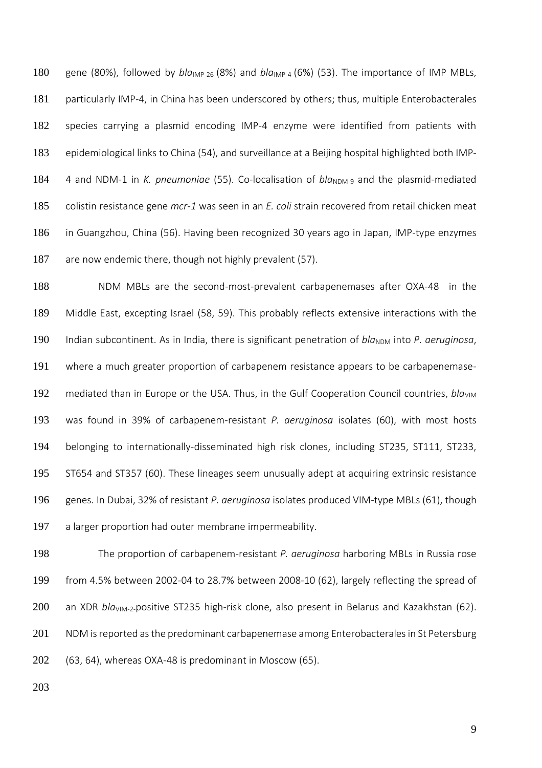180 gene (80%), followed by  $bla_{\text{IMP-26}}$  (8%) and  $bla_{\text{IMP-4}}$  (6%) (53). The importance of IMP MBLs, 181 particularly IMP-4, in China has been underscored by others; thus, multiple Enterobacterales species carrying a plasmid encoding IMP-4 enzyme were identified from patients with epidemiological links to China (54), and surveillance at a Beijing hospital highlighted both IMP-184 4 and NDM-1 in *K. pneumoniae* (55). Co-localisation of *bla*<sub>NDM-9</sub> and the plasmid-mediated colistin resistance gene *mcr-1* was seen in an *E. coli* strain recovered from retail chicken meat in Guangzhou, China (56). Having been recognized 30 years ago in Japan, IMP-type enzymes are now endemic there, though not highly prevalent (57).

 NDM MBLs are the second-most-prevalent carbapenemases after OXA-48 in the Middle East, excepting Israel (58, 59). This probably reflects extensive interactions with the 190 Indian subcontinent. As in India, there is significant penetration of *bla<sub>NDM</sub>* into *P. aeruginosa*, where a much greater proportion of carbapenem resistance appears to be carbapenemase-192 mediated than in Europe or the USA. Thus, in the Gulf Cooperation Council countries, *bla*<sub>VIM</sub> was found in 39% of carbapenem-resistant *P. aeruginosa* isolates (60), with most hosts belonging to internationally-disseminated high risk clones, including ST235, ST111, ST233, ST654 and ST357 (60). These lineages seem unusually adept at acquiring extrinsic resistance genes. In Dubai, 32% of resistant *P. aeruginosa* isolates produced VIM-type MBLs (61), though a larger proportion had outer membrane impermeability.

 The proportion of carbapenem-resistant *P. aeruginosa* harboring MBLs in Russia rose from 4.5% between 2002-04 to 28.7% between 2008-10 (62), largely reflecting the spread of 200 an XDR *bla*<sub>VIM-2</sub>-positive ST235 high-risk clone, also present in Belarus and Kazakhstan (62). 201 NDM is reported as the predominant carbapenemase among Enterobacterales in St Petersburg (63, 64), whereas OXA-48 is predominant in Moscow (65).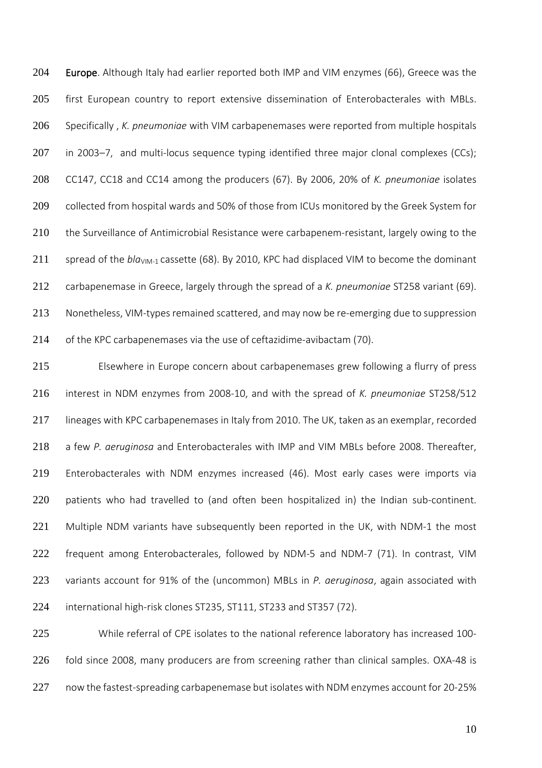204 Europe. Although Italy had earlier reported both IMP and VIM enzymes (66), Greece was the 205 first European country to report extensive dissemination of Enterobacterales with MBLs. 206 Specifically , *K. pneumoniae* with VIM carbapenemases were reported from multiple hospitals 207 in 2003–7, and multi-locus sequence typing identified three major clonal complexes (CCs); 208 CC147, CC18 and CC14 among the producers (67). By 2006, 20% of *K. pneumoniae* isolates 209 collected from hospital wards and 50% of those from ICUs monitored by the Greek System for 210 the Surveillance of Antimicrobial Resistance were carbapenem-resistant, largely owing to the 211 spread of the *bla*<sub>VIM-1</sub> cassette (68). By 2010, KPC had displaced VIM to become the dominant 212 carbapenemase in Greece, largely through the spread of a *K. pneumoniae* ST258 variant (69). 213 Nonetheless, VIM-types remained scattered, and may now be re-emerging due to suppression 214 of the KPC carbapenemases via the use of ceftazidime-avibactam (70).

 Elsewhere in Europe concern about carbapenemases grew following a flurry of press interest in NDM enzymes from 2008-10, and with the spread of *K. pneumoniae* ST258/512 lineages with KPC carbapenemases in Italy from 2010. The UK, taken as an exemplar, recorded a few *P. aeruginosa* and Enterobacterales with IMP and VIM MBLs before 2008. Thereafter, Enterobacterales with NDM enzymes increased (46). Most early cases were imports via 220 patients who had travelled to (and often been hospitalized in) the Indian sub-continent. 221 Multiple NDM variants have subsequently been reported in the UK, with NDM-1 the most 222 frequent among Enterobacterales, followed by NDM-5 and NDM-7 (71). In contrast, VIM variants account for 91% of the (uncommon) MBLs in *P. aeruginosa*, again associated with international high-risk clones ST235, ST111, ST233 and ST357 (72).

225 While referral of CPE isolates to the national reference laboratory has increased 100- 226 fold since 2008, many producers are from screening rather than clinical samples. OXA-48 is 227 now the fastest-spreading carbapenemase but isolates with NDM enzymes account for 20-25%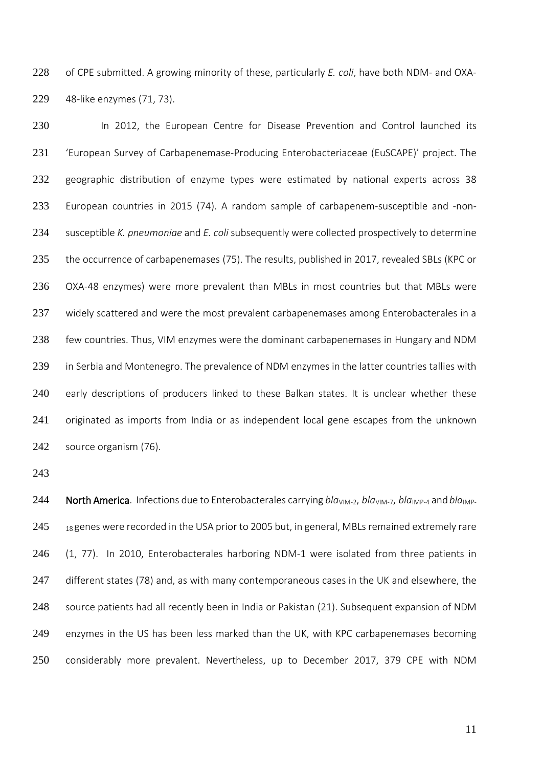228 of CPE submitted. A growing minority of these, particularly *E. coli*, have both NDM- and OXA-229 48-like enzymes (71, 73).

230 In 2012, the European Centre for Disease Prevention and Control launched its 231 'European Survey of Carbapenemase-Producing Enterobacteriaceae (EuSCAPE)' project. The 232 geographic distribution of enzyme types were estimated by national experts across 38 233 European countries in 2015 (74). A random sample of carbapenem-susceptible and -non-234 susceptible *K. pneumoniae* and *E. coli* subsequently were collected prospectively to determine 235 the occurrence of carbapenemases (75). The results, published in 2017, revealed SBLs (KPC or 236 OXA-48 enzymes) were more prevalent than MBLs in most countries but that MBLs were 237 widely scattered and were the most prevalent carbapenemases among Enterobacterales in a 238 few countries. Thus, VIM enzymes were the dominant carbapenemases in Hungary and NDM 239 in Serbia and Montenegro. The prevalence of NDM enzymes in the latter countries tallies with 240 early descriptions of producers linked to these Balkan states. It is unclear whether these 241 originated as imports from India or as independent local gene escapes from the unknown 242 source organism (76).

243

244 North America. Infections due to Enterobacterales carrying *bla*<sub>VIM-2</sub>, *bla*<sub>VIM-7</sub>, *bla*<sub>IMP-4</sub> and *bla*<sub>IMP-</sub>  $245$  18 genes were recorded in the USA prior to 2005 but, in general, MBLs remained extremely rare 246 (1, 77). In 2010, Enterobacterales harboring NDM-1 were isolated from three patients in 247 different states (78) and, as with many contemporaneous cases in the UK and elsewhere, the 248 source patients had all recently been in India or Pakistan (21). Subsequent expansion of NDM 249 enzymes in the US has been less marked than the UK, with KPC carbapenemases becoming 250 considerably more prevalent. Nevertheless, up to December 2017, 379 CPE with NDM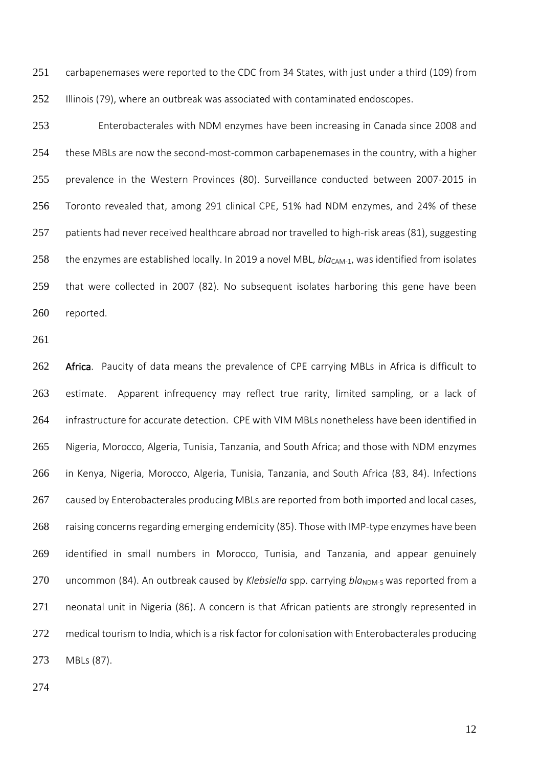251 carbapenemases were reported to the CDC from 34 States, with just under a third (109) from 252 Illinois (79), where an outbreak was associated with contaminated endoscopes.

 Enterobacterales with NDM enzymes have been increasing in Canada since 2008 and 254 these MBLs are now the second-most-common carbapenemases in the country, with a higher prevalence in the Western Provinces (80). Surveillance conducted between 2007-2015 in Toronto revealed that, among 291 clinical CPE, 51% had NDM enzymes, and 24% of these 257 patients had never received healthcare abroad nor travelled to high-risk areas (81), suggesting 258 the enzymes are established locally. In 2019 a novel MBL, *bla<sub>CAM-1</sub>*, was identified from isolates that were collected in 2007 (82). No subsequent isolates harboring this gene have been reported.

261

262 Africa. Paucity of data means the prevalence of CPE carrying MBLs in Africa is difficult to 263 estimate. Apparent infrequency may reflect true rarity, limited sampling, or a lack of 264 infrastructure for accurate detection. CPE with VIM MBLs nonetheless have been identified in 265 Nigeria, Morocco, Algeria, Tunisia, Tanzania, and South Africa; and those with NDM enzymes 266 in Kenya, Nigeria, Morocco, Algeria, Tunisia, Tanzania, and South Africa (83, 84). Infections 267 caused by Enterobacterales producing MBLs are reported from both imported and local cases, 268 raising concerns regarding emerging endemicity (85). Those with IMP-type enzymes have been 269 identified in small numbers in Morocco, Tunisia, and Tanzania, and appear genuinely 270 uncommon (84). An outbreak caused by *Klebsiella* spp. carrying *bla<sub>NDM-5</sub>* was reported from a 271 neonatal unit in Nigeria (86). A concern is that African patients are strongly represented in 272 medical tourism to India, which is a risk factor for colonisation with Enterobacterales producing 273 MBLs (87).

274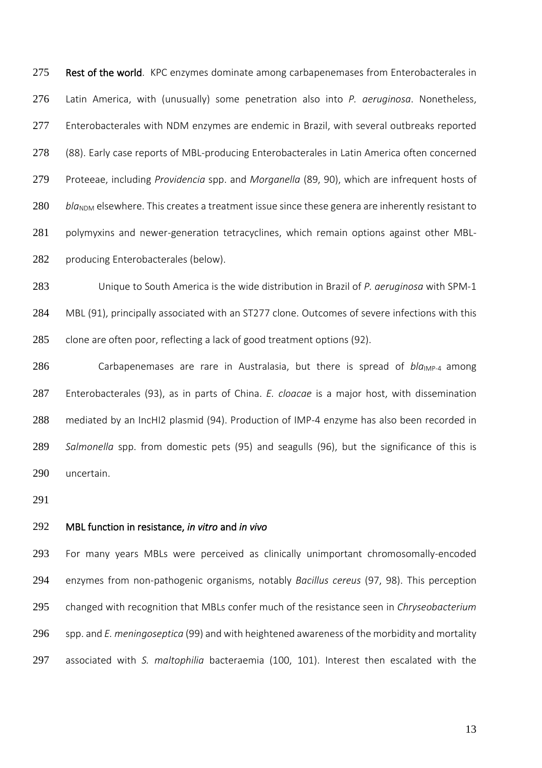275 Rest of the world. KPC enzymes dominate among carbapenemases from Enterobacterales in Latin America, with (unusually) some penetration also into *P. aeruginosa*. Nonetheless, 277 Enterobacterales with NDM enzymes are endemic in Brazil, with several outbreaks reported 278 (88). Early case reports of MBL-producing Enterobacterales in Latin America often concerned Proteeae, including *Providencia* spp. and *Morganella* (89, 90), which are infrequent hosts of *bla*<sub>NDM</sub> elsewhere. This creates a treatment issue since these genera are inherently resistant to polymyxins and newer-generation tetracyclines, which remain options against other MBL-producing Enterobacterales (below).

 Unique to South America is the wide distribution in Brazil of *P. aeruginosa* with SPM-1 MBL (91), principally associated with an ST277 clone. Outcomes of severe infections with this 285 clone are often poor, reflecting a lack of good treatment options (92).

286 Carbapenemases are rare in Australasia, but there is spread of bla<sub>IMP-4</sub> among Enterobacterales (93), as in parts of China. *E. cloacae* is a major host, with dissemination mediated by an IncHI2 plasmid (94). Production of IMP-4 enzyme has also been recorded in *Salmonella* spp. from domestic pets (95) and seagulls (96), but the significance of this is uncertain.

## MBL function in resistance, *in vitro* and *in vivo*

 For many years MBLs were perceived as clinically unimportant chromosomally-encoded enzymes from non-pathogenic organisms, notably *Bacillus cereus* (97, 98). This perception changed with recognition that MBLs confer much of the resistance seen in *Chryseobacterium* spp. and *E. meningoseptica* (99) and with heightened awareness of the morbidity and mortality associated with *S. maltophilia* bacteraemia (100, 101). Interest then escalated with the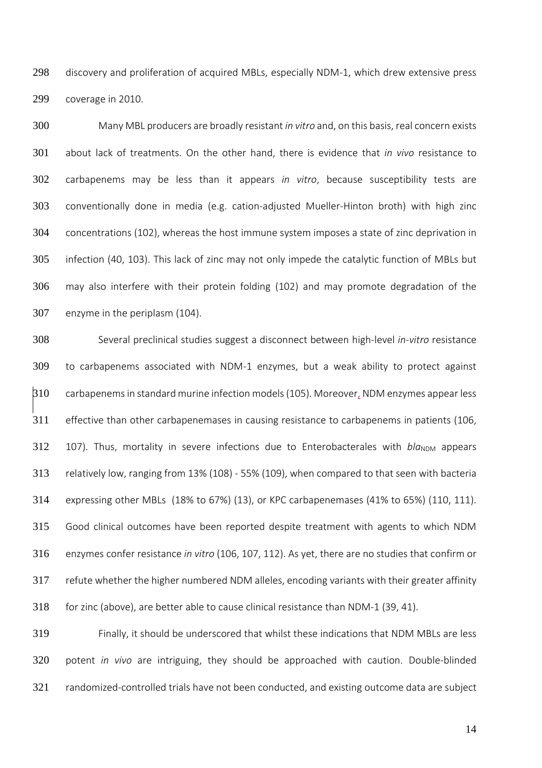discovery and proliferation of acquired MBLs, especially NDM-1, which drew extensive press coverage in 2010.

 Many MBL producers are broadly resistant *in vitro* and, on this basis, real concern exists about lack of treatments. On the other hand, there is evidence that *in vivo* resistance to carbapenems may be less than it appears *in vitro*, because susceptibility tests are conventionally done in media (e.g. cation-adjusted Mueller-Hinton broth) with high zinc concentrations (102), whereas the host immune system imposes a state of zinc deprivation in infection (40, 103). This lack of zinc may not only impede the catalytic function of MBLs but may also interfere with their protein folding (102) and may promote degradation of the enzyme in the periplasm (104).

 Several preclinical studies suggest a disconnect between high-level *in-vitro* resistance to carbapenems associated with NDM-1 enzymes, but a weak ability to protect against carbapenemsin standard murine infection models (105). Moreover, NDM enzymes appear less effective than other carbapenemases in causing resistance to carbapenems in patients (106, 107). Thus, mortality in severe infections due to Enterobacterales with  $bla<sub>NDM</sub>$  appears relatively low, ranging from 13% (108) - 55% (109), when compared to that seen with bacteria expressing other MBLs (18% to 67%) (13), or KPC carbapenemases (41% to 65%) (110, 111). Good clinical outcomes have been reported despite treatment with agents to which NDM enzymes confer resistance *in vitro* (106, 107, 112). As yet, there are no studies that confirm or refute whether the higher numbered NDM alleles, encoding variants with their greater affinity for zinc (above), are better able to cause clinical resistance than NDM-1 (39, 41).

 Finally, it should be underscored that whilst these indications that NDM MBLs are less potent *in vivo* are intriguing, they should be approached with caution. Double-blinded randomized-controlled trials have not been conducted, and existing outcome data are subject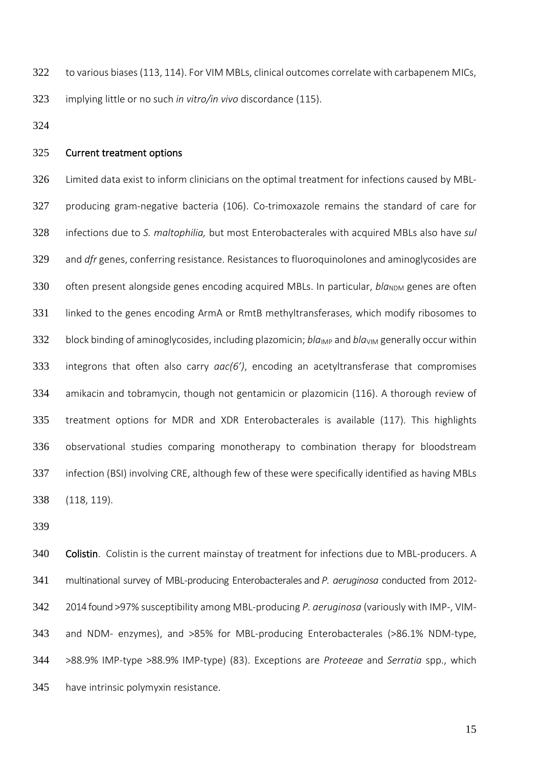to various biases(113, 114). For VIM MBLs, clinical outcomes correlate with carbapenem MICs, implying little or no such *in vitro/in vivo* discordance (115).

#### Current treatment options

 Limited data exist to inform clinicians on the optimal treatment for infections caused by MBL- producing gram-negative bacteria (106). Co-trimoxazole remains the standard of care for infections due to *S. maltophilia,* but most Enterobacterales with acquired MBLs also have *sul* and *dfr* genes, conferring resistance. Resistances to fluoroquinolones and aminoglycosides are 330 often present alongside genes encoding acquired MBLs. In particular, *bla<sub>NDM</sub>* genes are often 331 linked to the genes encoding ArmA or RmtB methyltransferases, which modify ribosomes to 332 block binding of aminoglycosides, including plazomicin; *bla*<sub>IMP</sub> and *bla*<sub>VIM</sub> generally occur within integrons that often also carry *aac(6')*, encoding an acetyltransferase that compromises amikacin and tobramycin, though not gentamicin or plazomicin (116). A thorough review of treatment options for MDR and XDR Enterobacterales is available (117). This highlights observational studies comparing monotherapy to combination therapy for bloodstream infection (BSI) involving CRE, although few of these were specifically identified as having MBLs (118, 119).

340 Colistin. Colistin is the current mainstay of treatment for infections due to MBL-producers. A multinational survey of MBL-producing Enterobacterales and *P. aeruginosa* conducted from 2012- 2014 found >97% susceptibility among MBL-producing *P. aeruginosa* (variously with IMP-, VIM- and NDM- enzymes), and >85% for MBL-producing Enterobacterales (>86.1% NDM-type, >88.9% IMP-type >88.9% IMP-type) (83). Exceptions are *Proteeae* and *Serratia* spp., which have intrinsic polymyxin resistance.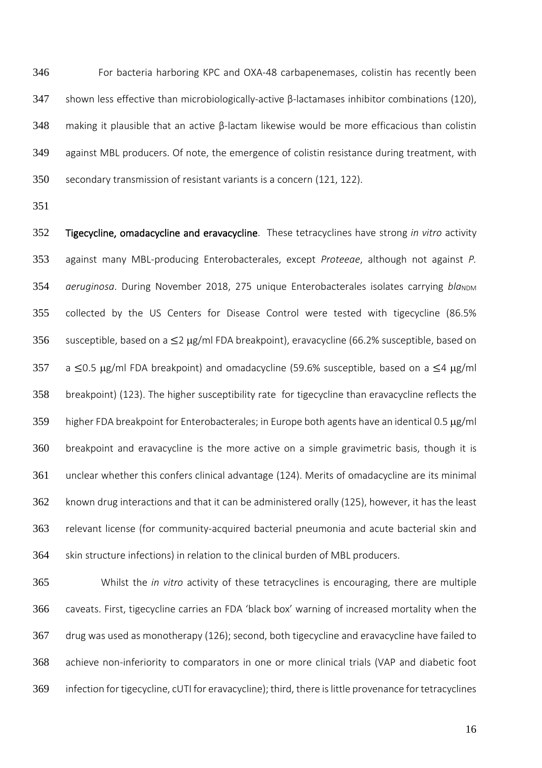For bacteria harboring KPC and OXA-48 carbapenemases, colistin has recently been shown less effective than microbiologically-active β-lactamases inhibitor combinations (120), 348 making it plausible that an active  $\beta$ -lactam likewise would be more efficacious than colistin against MBL producers. Of note, the emergence of colistin resistance during treatment, with secondary transmission of resistant variants is a concern (121, 122).

 Tigecycline, omadacycline and eravacycline. These tetracyclines have strong *in vitro* activity against many MBL-producing Enterobacterales, except *Proteeae*, although not against *P. aeruginosa*. During November 2018, 275 unique Enterobacterales isolates carrying *bla*<sub>NDM</sub> collected by the US Centers for Disease Control were tested with tigecycline (86.5% 356 susceptible, based on a  $\leq$ 2  $\mu$ g/ml FDA breakpoint), eravacycline (66.2% susceptible, based on 357 a  $\leq$ 0.5  $\mu$ g/ml FDA breakpoint) and omadacycline (59.6% susceptible, based on a  $\leq$ 4  $\mu$ g/ml breakpoint) (123). The higher susceptibility rate for tigecycline than eravacycline reflects the higher FDA breakpoint for Enterobacterales; in Europe both agents have an identical 0.5  $\mu$ g/ml breakpoint and eravacycline is the more active on a simple gravimetric basis, though it is unclear whether this confers clinical advantage (124). Merits of omadacycline are its minimal known drug interactions and that it can be administered orally (125), however, it has the least relevant license (for community-acquired bacterial pneumonia and acute bacterial skin and skin structure infections) in relation to the clinical burden of MBL producers.

 Whilst the *in vitro* activity of these tetracyclines is encouraging, there are multiple caveats. First, tigecycline carries an FDA 'black box' warning of increased mortality when the drug was used as monotherapy (126); second, both tigecycline and eravacycline have failed to achieve non-inferiority to comparators in one or more clinical trials (VAP and diabetic foot infection for tigecycline, cUTI for eravacycline); third, there is little provenance for tetracyclines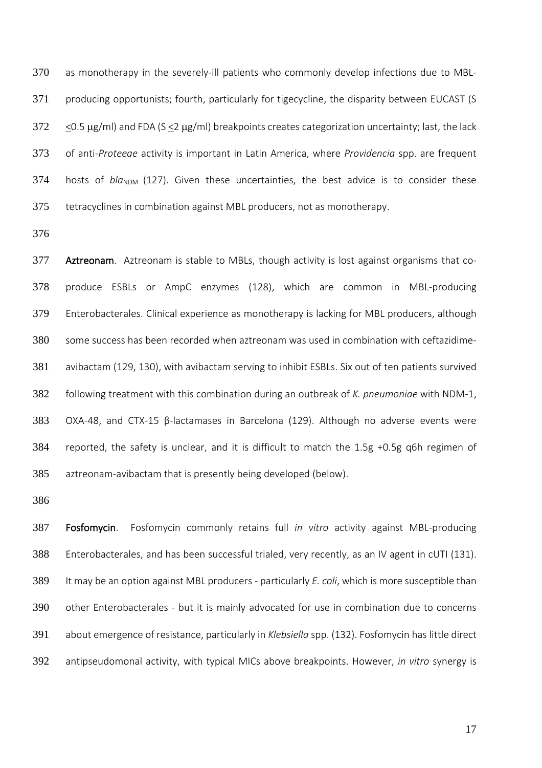as monotherapy in the severely-ill patients who commonly develop infections due to MBL- producing opportunists; fourth, particularly for tigecycline, the disparity between EUCAST (S  $372 \le 0.5$   $\mu$ g/ml) and FDA (S <2  $\mu$ g/ml) breakpoints creates categorization uncertainty; last, the lack of anti-*Proteeae* activity is important in Latin America, where *Providencia* spp. are frequent 374 hosts of *bla<sub>NDM</sub>* (127). Given these uncertainties, the best advice is to consider these tetracyclines in combination against MBL producers, not as monotherapy.

377 Aztreonam. Aztreonam is stable to MBLs, though activity is lost against organisms that co- produce ESBLs or AmpC enzymes (128), which are common in MBL-producing Enterobacterales. Clinical experience as monotherapy is lacking for MBL producers, although some success has been recorded when aztreonam was used in combination with ceftazidime- avibactam (129, 130), with avibactam serving to inhibit ESBLs. Six out of ten patients survived following treatment with this combination during an outbreak of *K. pneumoniae* with NDM-1, OXA-48, and CTX-15 β-lactamases in Barcelona (129). Although no adverse events were reported, the safety is unclear, and it is difficult to match the 1.5g +0.5g q6h regimen of aztreonam-avibactam that is presently being developed (below).

 Fosfomycin. Fosfomycin commonly retains full *in vitro* activity against MBL-producing Enterobacterales, and has been successful trialed, very recently, as an IV agent in cUTI (131). It may be an option against MBL producers - particularly *E. coli*, which is more susceptible than other Enterobacterales - but it is mainly advocated for use in combination due to concerns about emergence of resistance, particularly in *Klebsiella* spp. (132). Fosfomycin has little direct antipseudomonal activity, with typical MICs above breakpoints. However, *in vitro* synergy is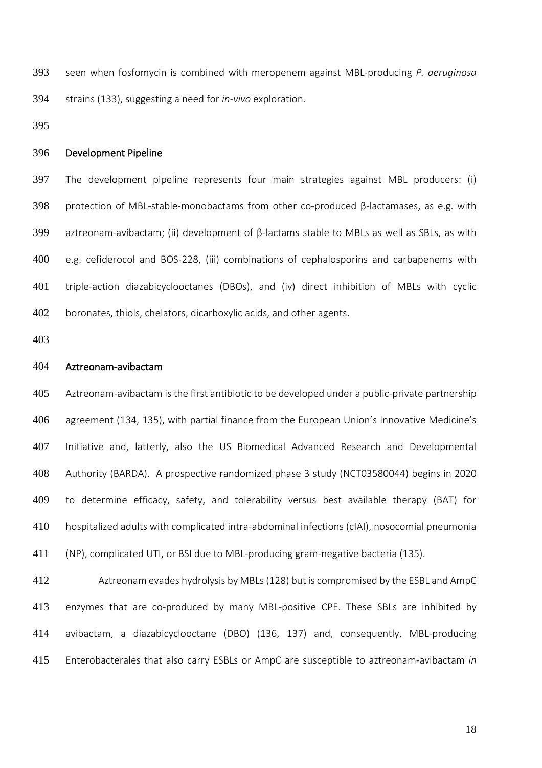seen when fosfomycin is combined with meropenem against MBL-producing *P. aeruginosa* strains (133), suggesting a need for *in-vivo* exploration.

## Development Pipeline

 The development pipeline represents four main strategies against MBL producers: (i) protection of MBL-stable-monobactams from other co-produced β-lactamases, as e.g. with 399 aztreonam-avibactam; (ii) development of  $\beta$ -lactams stable to MBLs as well as SBLs, as with e.g. cefiderocol and BOS-228, (iii) combinations of cephalosporins and carbapenems with triple-action diazabicyclooctanes (DBOs), and (iv) direct inhibition of MBLs with cyclic boronates, thiols, chelators, dicarboxylic acids, and other agents.

## Aztreonam-avibactam

405 Aztreonam-avibactam is the first antibiotic to be developed under a public-private partnership agreement (134, 135), with partial finance from the European Union's Innovative Medicine's Initiative and, latterly, also the US Biomedical Advanced Research and Developmental Authority (BARDA). A prospective randomized phase 3 study (NCT03580044) begins in 2020 to determine efficacy, safety, and tolerability versus best available therapy (BAT) for hospitalized adults with complicated intra-abdominal infections (cIAI), nosocomial pneumonia (NP), complicated UTI, or BSI due to MBL-producing gram-negative bacteria (135).

 Aztreonam evades hydrolysis by MBLs (128) but is compromised by the ESBL and AmpC enzymes that are co-produced by many MBL-positive CPE. These SBLs are inhibited by avibactam, a diazabicyclooctane (DBO) (136, 137) and, consequently, MBL-producing Enterobacterales that also carry ESBLs or AmpC are susceptible to aztreonam-avibactam *in*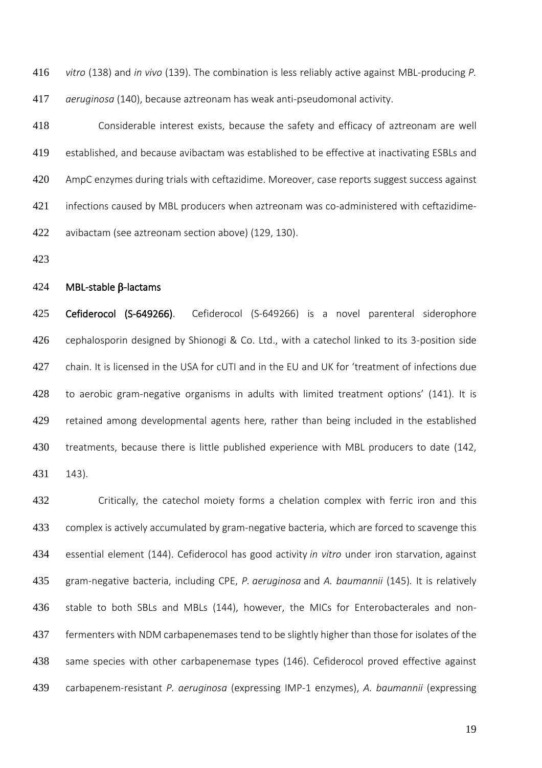*vitro* (138) and *in vivo* (139). The combination is less reliably active against MBL-producing *P. aeruginosa* (140), because aztreonam has weak anti-pseudomonal activity.

 Considerable interest exists, because the safety and efficacy of aztreonam are well established, and because avibactam was established to be effective at inactivating ESBLs and 420 AmpC enzymes during trials with ceftazidime. Moreover, case reports suggest success against infections caused by MBL producers when aztreonam was co-administered with ceftazidime-avibactam (see aztreonam section above) (129, 130).

#### MBL-stable  $\beta$ -lactams

 Cefiderocol (S-649266). Cefiderocol (S-649266) is a novel parenteral siderophore cephalosporin designed by Shionogi & Co. Ltd., with a catechol linked to its 3-position side chain. It is licensed in the USA for cUTI and in the EU and UK for 'treatment of infections due to aerobic gram-negative organisms in adults with limited treatment options' (141). It is 429 retained among developmental agents here, rather than being included in the established 430 treatments, because there is little published experience with MBL producers to date (142, 143).

432 Critically, the catechol moiety forms a chelation complex with ferric iron and this 433 complex is actively accumulated by gram-negative bacteria, which are forced to scavenge this essential element (144). Cefiderocol has good activity *in vitro* under iron starvation, against gram-negative bacteria, including CPE, *P. aeruginosa* and *A. baumannii* (145)*.* It is relatively 436 stable to both SBLs and MBLs (144), however, the MICs for Enterobacterales and non- fermenters with NDM carbapenemases tend to be slightly higher than those for isolates of the 438 same species with other carbapenemase types (146). Cefiderocol proved effective against carbapenem-resistant *P. aeruginosa* (expressing IMP-1 enzymes), *A. baumannii* (expressing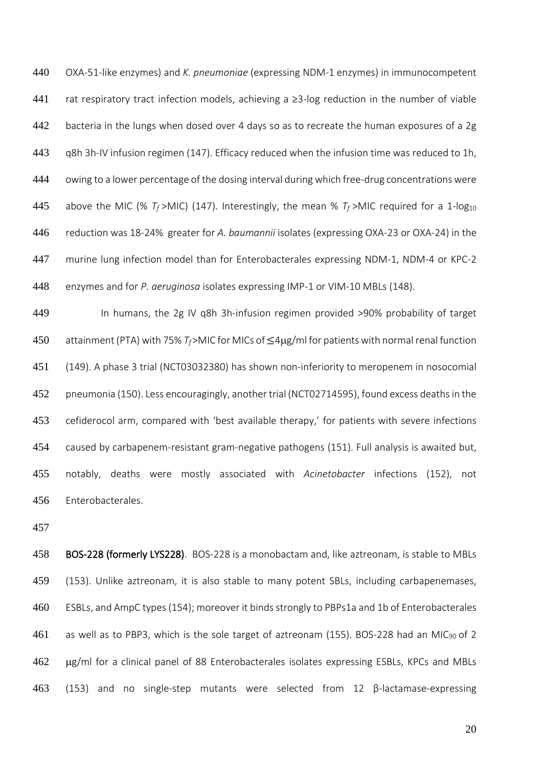OXA-51-like enzymes) and *K. pneumoniae* (expressing NDM-1 enzymes) in immunocompetent rat respiratory tract infection models, achieving a ≥3-log reduction in the number of viable 442 bacteria in the lungs when dosed over 4 days so as to recreate the human exposures of a 2g q8h 3h-IV infusion regimen (147). Efficacy reduced when the infusion time was reduced to 1h, owing to a lower percentage of the dosing interval during which free-drug concentrations were 445 above the MIC (%  $T_f$ >MIC) (147). Interestingly, the mean %  $T_f$ >MIC required for a 1-log<sub>10</sub> reduction was 18-24% greater for *A. baumannii* isolates (expressing OXA-23 or OXA-24) in the murine lung infection model than for Enterobacterales expressing NDM-1, NDM-4 or KPC-2 enzymes and for *P. aeruginosa* isolates expressing IMP-1 or VIM-10 MBLs (148).

449 In humans, the 2g IV q8h 3h-infusion regimen provided >90% probability of target attainment (PTA) with 75% *Tf*>MIC for MICs of ≤4g/ml for patients with normal renal function (149). A phase 3 trial (NCT03032380) has shown non-inferiority to meropenem in nosocomial pneumonia (150). Less encouragingly, another trial (NCT02714595), found excess deaths in the cefiderocol arm, compared with 'best available therapy,' for patients with severe infections caused by carbapenem-resistant gram-negative pathogens (151). Full analysis is awaited but, notably, deaths were mostly associated with *Acinetobacter* infections (152), not Enterobacterales.

 BOS-228 (formerly LYS228). BOS-228 is a monobactam and, like aztreonam, is stable to MBLs (153). Unlike aztreonam, it is also stable to many potent SBLs, including carbapenemases, ESBLs, and AmpC types (154); moreover it binds strongly to PBPs1a and 1b of Enterobacterales 461 as well as to PBP3, which is the sole target of aztreonam (155). BOS-228 had an MIC<sub>90</sub> of 2 462 µg/ml for a clinical panel of 88 Enterobacterales isolates expressing ESBLs, KPCs and MBLs (153) and no single-step mutants were selected from 12 β-lactamase-expressing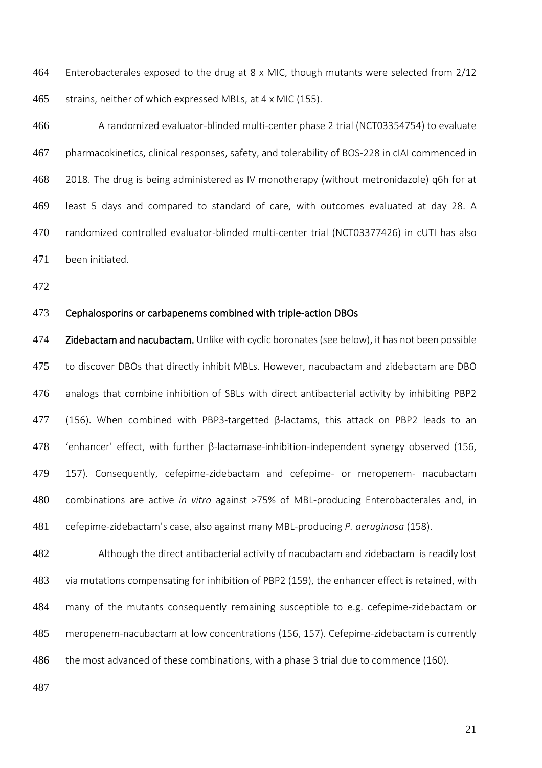Enterobacterales exposed to the drug at 8 x MIC, though mutants were selected from 2/12 465 strains, neither of which expressed MBLs, at 4 x MIC (155).

 A randomized evaluator-blinded multi-center phase 2 trial (NCT03354754) to evaluate pharmacokinetics, clinical responses, safety, and tolerability of BOS-228 in cIAI commenced in 2018. The drug is being administered as IV monotherapy (without metronidazole) q6h for at least 5 days and compared to standard of care, with outcomes evaluated at day 28. A randomized controlled evaluator-blinded multi-center trial (NCT03377426) in cUTI has also been initiated.

## Cephalosporins or carbapenems combined with triple-action DBOs

474 Zidebactam and nacubactam. Unlike with cyclic boronates (see below), it has not been possible 475 to discover DBOs that directly inhibit MBLs. However, nacubactam and zidebactam are DBO analogs that combine inhibition of SBLs with direct antibacterial activity by inhibiting PBP2 (156). When combined with PBP3-targetted β-lactams, this attack on PBP2 leads to an 'enhancer' effect, with further β-lactamase-inhibition-independent synergy observed (156, 157). Consequently, cefepime-zidebactam and cefepime- or meropenem- nacubactam combinations are active *in vitro* against >75% of MBL-producing Enterobacterales and, in cefepime-zidebactam's case, also against many MBL-producing *P. aeruginosa* (158).

 Although the direct antibacterial activity of nacubactam and zidebactam is readily lost via mutations compensating for inhibition of PBP2 (159), the enhancer effect is retained, with many of the mutants consequently remaining susceptible to e.g. cefepime-zidebactam or meropenem-nacubactam at low concentrations (156, 157). Cefepime-zidebactam is currently the most advanced of these combinations, with a phase 3 trial due to commence (160).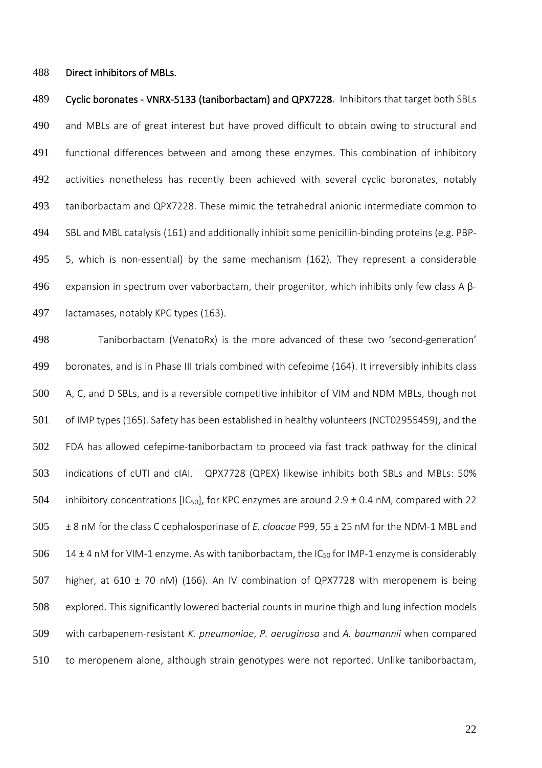#### Direct inhibitors of MBLs.

489 Cyclic boronates - VNRX-5133 (taniborbactam) and QPX7228. Inhibitors that target both SBLs 490 and MBLs are of great interest but have proved difficult to obtain owing to structural and functional differences between and among these enzymes. This combination of inhibitory 492 activities nonetheless has recently been achieved with several cyclic boronates, notably taniborbactam and QPX7228. These mimic the tetrahedral anionic intermediate common to SBL and MBL catalysis (161) and additionally inhibit some penicillin-binding proteins (e.g. PBP- 5, which is non-essential) by the same mechanism (162). They represent a considerable 496 expansion in spectrum over vaborbactam, their progenitor, which inhibits only few class A  $\beta$ -lactamases, notably KPC types (163).

 Taniborbactam (VenatoRx) is the more advanced of these two 'second-generation' 499 boronates, and is in Phase III trials combined with cefepime (164). It irreversibly inhibits class A, C, and D SBLs, and is a reversible competitive inhibitor of VIM and NDM MBLs, though not of IMP types (165). Safety has been established in healthy volunteers (NCT02955459), and the FDA has allowed cefepime-taniborbactam to proceed via fast track pathway for the clinical indications of cUTI and cIAI. QPX7728 (QPEX) likewise inhibits both SBLs and MBLs: 50% 504 inhibitory concentrations [IC<sub>50</sub>], for KPC enzymes are around 2.9  $\pm$  0.4 nM, compared with 22 ± 8 nM for the class C cephalosporinase of *E. cloacae* P99, 55 ± 25 nM for the NDM-1 MBL and 506 14  $\pm$  4 nM for VIM-1 enzyme. As with taniborbactam, the IC<sub>50</sub> for IMP-1 enzyme is considerably 507 higher, at 610  $\pm$  70 nM) (166). An IV combination of QPX7728 with meropenem is being explored. This significantly lowered bacterial counts in murine thigh and lung infection models with carbapenem-resistant *K. pneumoniae*, *P. aeruginosa* and *A. baumannii* when compared to meropenem alone, although strain genotypes were not reported. Unlike taniborbactam,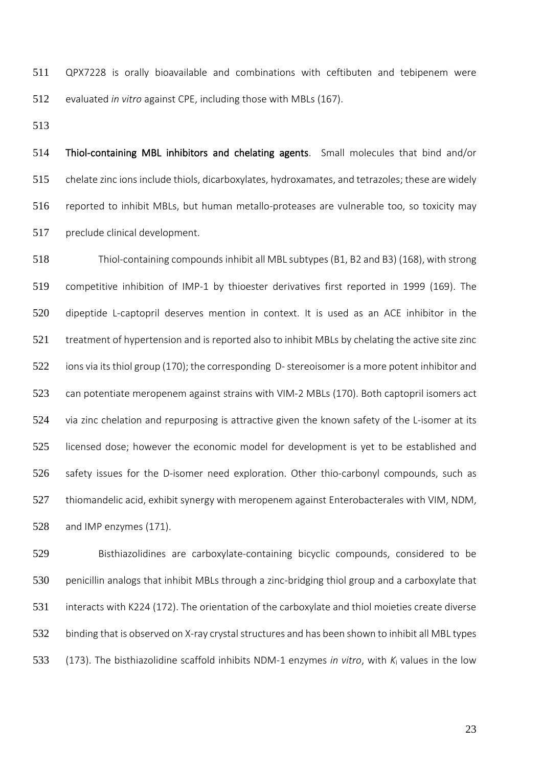QPX7228 is orally bioavailable and combinations with ceftibuten and tebipenem were evaluated *in vitro* against CPE, including those with MBLs (167).

 Thiol-containing MBL inhibitors and chelating agents. Small molecules that bind and/or chelate zinc ions include thiols, dicarboxylates, hydroxamates, and tetrazoles; these are widely reported to inhibit MBLs, but human metallo-proteases are vulnerable too, so toxicity may preclude clinical development.

 Thiol-containing compounds inhibit all MBL subtypes (B1, B2 and B3) (168), with strong competitive inhibition of IMP-1 by thioester derivatives first reported in 1999 (169). The dipeptide L-captopril deserves mention in context. It is used as an ACE inhibitor in the 521 treatment of hypertension and is reported also to inhibit MBLs by chelating the active site zinc 522 ions via its thiol group (170); the corresponding D-stereoisomer is a more potent inhibitor and 523 can potentiate meropenem against strains with VIM-2 MBLs (170). Both captopril isomers act via zinc chelation and repurposing is attractive given the known safety of the L-isomer at its licensed dose; however the economic model for development is yet to be established and safety issues for the D-isomer need exploration. Other thio-carbonyl compounds, such as 527 thiomandelic acid, exhibit synergy with meropenem against Enterobacterales with VIM, NDM, and IMP enzymes (171).

 Bisthiazolidines are carboxylate-containing bicyclic compounds, considered to be 530 penicillin analogs that inhibit MBLs through a zinc-bridging thiol group and a carboxylate that interacts with K224 (172). The orientation of the carboxylate and thiol moieties create diverse binding that is observed on X-ray crystal structures and has been shown to inhibit all MBL types (173). The bisthiazolidine scaffold inhibits NDM-1 enzymes *in vitro*, with *K*<sup>i</sup> values in the low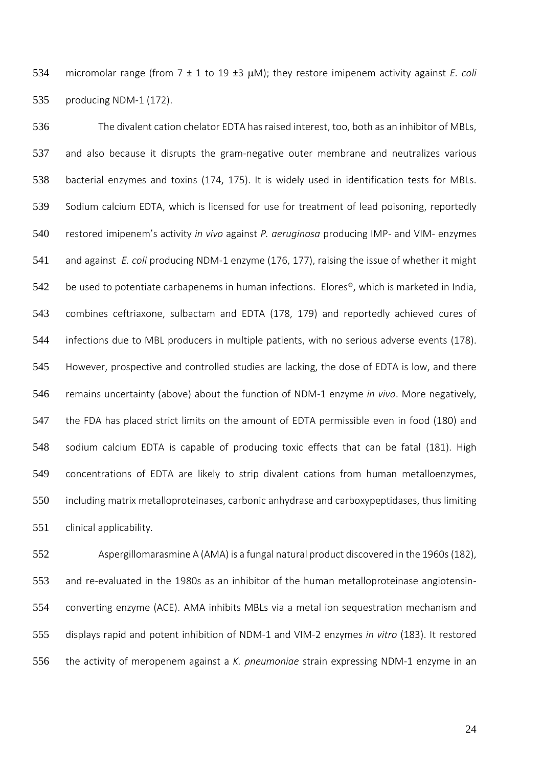534 micromolar range (from 7 ± 1 to 19 ±3  $\mu$ M); they restore imipenem activity against *E. coli* producing NDM-1 (172).

 The divalent cation chelator EDTA has raised interest, too, both as an inhibitor of MBLs, and also because it disrupts the gram-negative outer membrane and neutralizes various bacterial enzymes and toxins (174, 175). It is widely used in identification tests for MBLs. Sodium calcium EDTA, which is licensed for use for treatment of lead poisoning, reportedly restored imipenem's activity *in vivo* against *P. aeruginosa* producing IMP- and VIM- enzymes and against *E. coli* producing NDM-1 enzyme (176, 177), raising the issue of whether it might 542 be used to potentiate carbapenems in human infections. Elores<sup>®</sup>, which is marketed in India, combines ceftriaxone, sulbactam and EDTA (178, 179) and reportedly achieved cures of infections due to MBL producers in multiple patients, with no serious adverse events (178). However, prospective and controlled studies are lacking, the dose of EDTA is low, and there remains uncertainty (above) about the function of NDM-1 enzyme *in vivo*. More negatively, 547 the FDA has placed strict limits on the amount of EDTA permissible even in food (180) and sodium calcium EDTA is capable of producing toxic effects that can be fatal (181). High concentrations of EDTA are likely to strip divalent cations from human metalloenzymes, including matrix metalloproteinases, carbonic anhydrase and carboxypeptidases, thus limiting clinical applicability.

 Aspergillomarasmine A (AMA) is a fungal natural product discovered in the 1960s (182), and re-evaluated in the 1980s as an inhibitor of the human metalloproteinase angiotensin- converting enzyme (ACE). AMA inhibits MBLs via a metal ion sequestration mechanism and displays rapid and potent inhibition of NDM-1 and VIM-2 enzymes *in vitro* (183). It restored the activity of meropenem against a *K. pneumoniae* strain expressing NDM-1 enzyme in an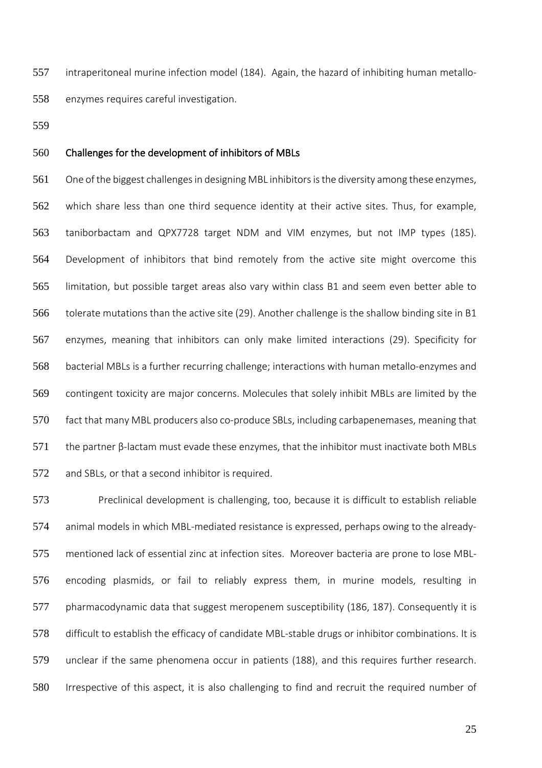intraperitoneal murine infection model (184). Again, the hazard of inhibiting human metallo-enzymes requires careful investigation.

## Challenges for the development of inhibitors of MBLs

561 One of the biggest challenges in designing MBL inhibitors is the diversity among these enzymes, which share less than one third sequence identity at their active sites. Thus, for example, taniborbactam and QPX7728 target NDM and VIM enzymes, but not IMP types (185). Development of inhibitors that bind remotely from the active site might overcome this limitation, but possible target areas also vary within class B1 and seem even better able to 566 tolerate mutations than the active site (29). Another challenge is the shallow binding site in B1 enzymes, meaning that inhibitors can only make limited interactions (29). Specificity for bacterial MBLs is a further recurring challenge; interactions with human metallo-enzymes and contingent toxicity are major concerns. Molecules that solely inhibit MBLs are limited by the fact that many MBL producers also co-produce SBLs, including carbapenemases, meaning that the partner  $\beta$ -lactam must evade these enzymes, that the inhibitor must inactivate both MBLs and SBLs, or that a second inhibitor is required.

 Preclinical development is challenging, too, because it is difficult to establish reliable animal models in which MBL-mediated resistance is expressed, perhaps owing to the already- mentioned lack of essential zinc at infection sites. Moreover bacteria are prone to lose MBL- encoding plasmids, or fail to reliably express them, in murine models, resulting in 577 pharmacodynamic data that suggest meropenem susceptibility (186, 187). Consequently it is difficult to establish the efficacy of candidate MBL-stable drugs or inhibitor combinations. It is unclear if the same phenomena occur in patients (188), and this requires further research. Irrespective of this aspect, it is also challenging to find and recruit the required number of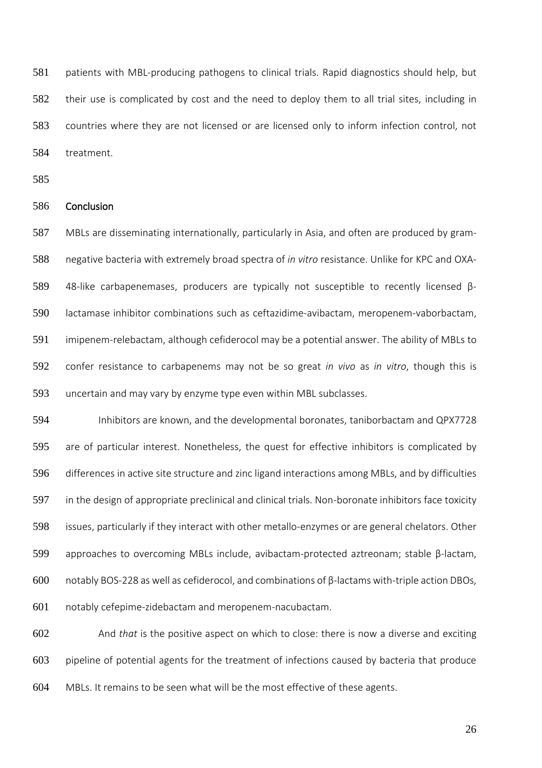patients with MBL-producing pathogens to clinical trials. Rapid diagnostics should help, but their use is complicated by cost and the need to deploy them to all trial sites, including in countries where they are not licensed or are licensed only to inform infection control, not treatment.

## Conclusion

 MBLs are disseminating internationally, particularly in Asia, and often are produced by gram- negative bacteria with extremely broad spectra of *in vitro* resistance. Unlike for KPC and OXA- 48-like carbapenemases, producers are typically not susceptible to recently licensed β- lactamase inhibitor combinations such as ceftazidime-avibactam, meropenem-vaborbactam, imipenem-relebactam, although cefiderocol may be a potential answer. The ability of MBLs to confer resistance to carbapenems may not be so great *in vivo* as *in vitro*, though this is uncertain and may vary by enzyme type even within MBL subclasses.

 Inhibitors are known, and the developmental boronates, taniborbactam and QPX7728 are of particular interest. Nonetheless, the quest for effective inhibitors is complicated by differences in active site structure and zinc ligand interactions among MBLs, and by difficulties in the design of appropriate preclinical and clinical trials. Non-boronate inhibitors face toxicity issues, particularly if they interact with other metallo-enzymes or are general chelators. Other approaches to overcoming MBLs include, avibactam-protected aztreonam; stable β-lactam, notably BOS-228 as well as cefiderocol, and combinations of β-lactams with-triple action DBOs, notably cefepime-zidebactam and meropenem-nacubactam.

 And *that* is the positive aspect on which to close: there is now a diverse and exciting pipeline of potential agents for the treatment of infections caused by bacteria that produce MBLs. It remains to be seen what will be the most effective of these agents.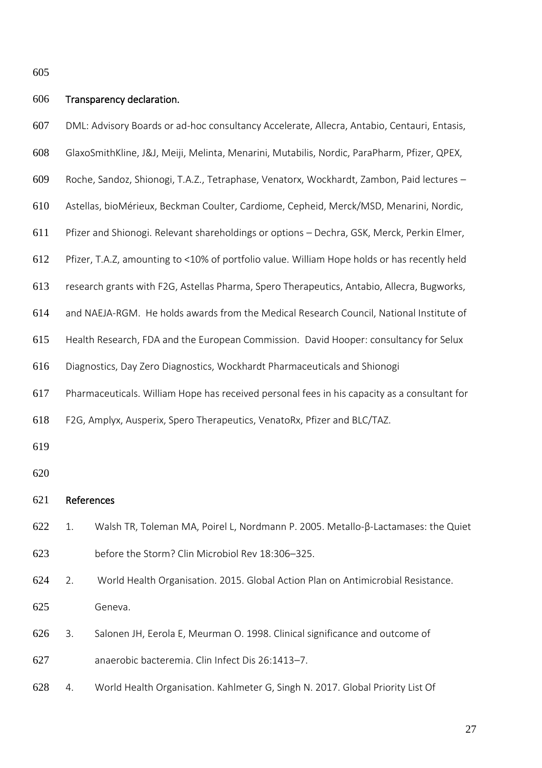| 606 | Transparency declaration.                                                                    |                                                                                             |  |  |  |  |
|-----|----------------------------------------------------------------------------------------------|---------------------------------------------------------------------------------------------|--|--|--|--|
| 607 |                                                                                              | DML: Advisory Boards or ad-hoc consultancy Accelerate, Allecra, Antabio, Centauri, Entasis, |  |  |  |  |
| 608 |                                                                                              | GlaxoSmithKline, J&J, Meiji, Melinta, Menarini, Mutabilis, Nordic, ParaPharm, Pfizer, QPEX, |  |  |  |  |
| 609 |                                                                                              | Roche, Sandoz, Shionogi, T.A.Z., Tetraphase, Venatorx, Wockhardt, Zambon, Paid lectures -   |  |  |  |  |
| 610 | Astellas, bioMérieux, Beckman Coulter, Cardiome, Cepheid, Merck/MSD, Menarini, Nordic,       |                                                                                             |  |  |  |  |
| 611 | Pfizer and Shionogi. Relevant shareholdings or options - Dechra, GSK, Merck, Perkin Elmer,   |                                                                                             |  |  |  |  |
| 612 | Pfizer, T.A.Z, amounting to <10% of portfolio value. William Hope holds or has recently held |                                                                                             |  |  |  |  |
| 613 | research grants with F2G, Astellas Pharma, Spero Therapeutics, Antabio, Allecra, Bugworks,   |                                                                                             |  |  |  |  |
| 614 | and NAEJA-RGM. He holds awards from the Medical Research Council, National Institute of      |                                                                                             |  |  |  |  |
| 615 |                                                                                              | Health Research, FDA and the European Commission. David Hooper: consultancy for Selux       |  |  |  |  |
| 616 | Diagnostics, Day Zero Diagnostics, Wockhardt Pharmaceuticals and Shionogi                    |                                                                                             |  |  |  |  |
| 617 | Pharmaceuticals. William Hope has received personal fees in his capacity as a consultant for |                                                                                             |  |  |  |  |
| 618 | F2G, Amplyx, Ausperix, Spero Therapeutics, VenatoRx, Pfizer and BLC/TAZ.                     |                                                                                             |  |  |  |  |
| 619 |                                                                                              |                                                                                             |  |  |  |  |
| 620 |                                                                                              |                                                                                             |  |  |  |  |
| 621 | References                                                                                   |                                                                                             |  |  |  |  |
| 622 | 1.                                                                                           | Walsh TR, Toleman MA, Poirel L, Nordmann P. 2005. Metallo-β-Lactamases: the Quiet           |  |  |  |  |
| 623 |                                                                                              | before the Storm? Clin Microbiol Rev 18:306-325.                                            |  |  |  |  |
| 624 | 2.                                                                                           | World Health Organisation. 2015. Global Action Plan on Antimicrobial Resistance.            |  |  |  |  |
| 625 |                                                                                              | Geneva.                                                                                     |  |  |  |  |
| 626 | 3.                                                                                           | Salonen JH, Eerola E, Meurman O. 1998. Clinical significance and outcome of                 |  |  |  |  |
| 627 |                                                                                              | anaerobic bacteremia. Clin Infect Dis 26:1413-7.                                            |  |  |  |  |

4. World Health Organisation. Kahlmeter G, Singh N. 2017. Global Priority List Of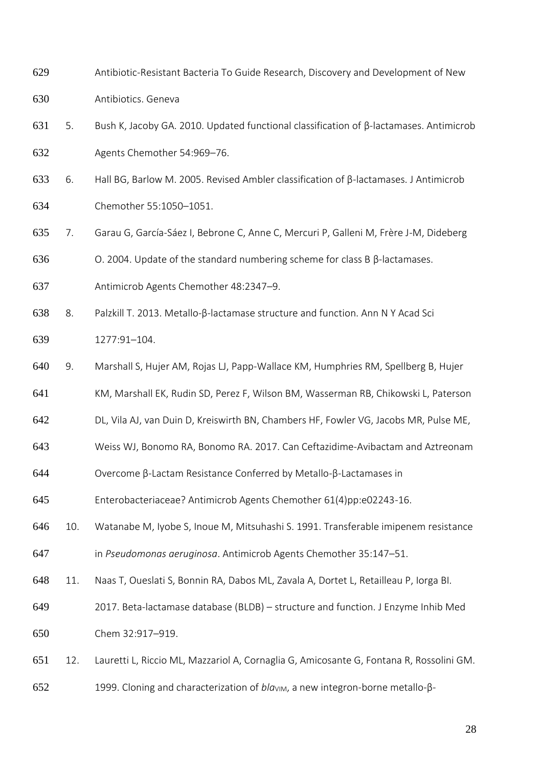- Antibiotic-Resistant Bacteria To Guide Research, Discovery and Development of New Antibiotics. Geneva
- 5. Bush K, Jacoby GA. 2010. Updated functional classification of β-lactamases. Antimicrob Agents Chemother 54:969–76.
- 6. Hall BG, Barlow M. 2005. Revised Ambler classification of β-lactamases. J Antimicrob Chemother 55:1050–1051.
- 7. Garau G, García-Sáez I, Bebrone C, Anne C, Mercuri P, Galleni M, Frère J-M, Dideberg
- 636  $\sim$  0. 2004. Update of the standard numbering scheme for class B β-lactamases.
- Antimicrob Agents Chemother 48:2347–9.
- 8. Palzkill T. 2013. Metallo-β-lactamase structure and function. Ann N Y Acad Sci

1277:91–104.

- 9. Marshall S, Hujer AM, Rojas LJ, Papp-Wallace KM, Humphries RM, Spellberg B, Hujer
- KM, Marshall EK, Rudin SD, Perez F, Wilson BM, Wasserman RB, Chikowski L, Paterson
- DL, Vila AJ, van Duin D, Kreiswirth BN, Chambers HF, Fowler VG, Jacobs MR, Pulse ME,
- Weiss WJ, Bonomo RA, Bonomo RA. 2017. Can Ceftazidime-Avibactam and Aztreonam
- Overcome β-Lactam Resistance Conferred by Metallo-β-Lactamases in
- Enterobacteriaceae? Antimicrob Agents Chemother 61(4)pp:e02243-16.
- 10. Watanabe M, Iyobe S, Inoue M, Mitsuhashi S. 1991. Transferable imipenem resistance
- in *Pseudomonas aeruginosa*. Antimicrob Agents Chemother 35:147–51.
- 11. Naas T, Oueslati S, Bonnin RA, Dabos ML, Zavala A, Dortet L, Retailleau P, Iorga BI.
- 2017. Beta-lactamase database (BLDB) structure and function. J Enzyme Inhib Med Chem 32:917–919.
- 12. Lauretti L, Riccio ML, Mazzariol A, Cornaglia G, Amicosante G, Fontana R, Rossolini GM.
- 652 1999. Cloning and characterization of *bla*<sub>VIM</sub>, a new integron-borne metallo-β-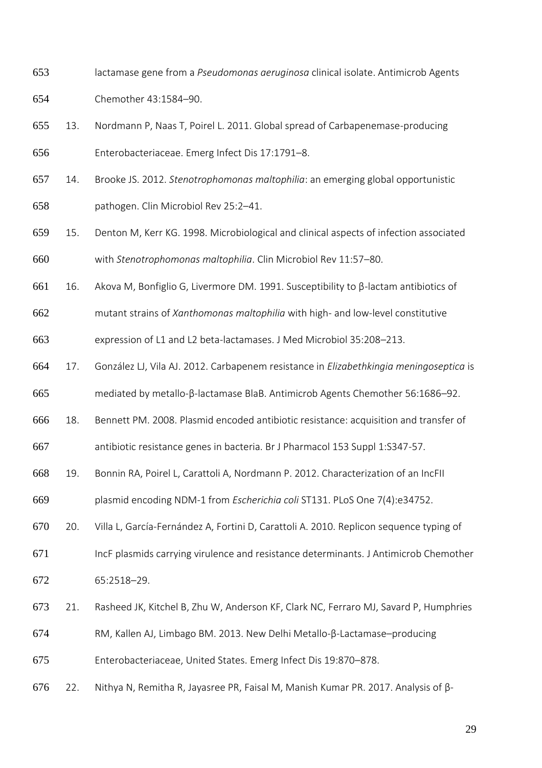- lactamase gene from a *Pseudomonas aeruginosa* clinical isolate. Antimicrob Agents Chemother 43:1584–90.
- 13. Nordmann P, Naas T, Poirel L. 2011. Global spread of Carbapenemase-producing Enterobacteriaceae. Emerg Infect Dis 17:1791–8.
- 14. Brooke JS. 2012. *Stenotrophomonas maltophilia*: an emerging global opportunistic pathogen. Clin Microbiol Rev 25:2–41.
- 15. Denton M, Kerr KG. 1998. Microbiological and clinical aspects of infection associated with *Stenotrophomonas maltophilia*. Clin Microbiol Rev 11:57–80.
- 16. Akova M, Bonfiglio G, Livermore DM. 1991. Susceptibility to β-lactam antibiotics of
- mutant strains of *Xanthomonas maltophilia* with high- and low-level constitutive

expression of L1 and L2 beta-lactamases. J Med Microbiol 35:208–213.

17. González LJ, Vila AJ. 2012. Carbapenem resistance in *Elizabethkingia meningoseptica* is

mediated by metallo-β-lactamase BlaB. Antimicrob Agents Chemother 56:1686–92.

18. Bennett PM. 2008. Plasmid encoded antibiotic resistance: acquisition and transfer of

antibiotic resistance genes in bacteria. Br J Pharmacol 153 Suppl 1:S347-57.

19. Bonnin RA, Poirel L, Carattoli A, Nordmann P. 2012. Characterization of an IncFII

plasmid encoding NDM-1 from *Escherichia coli* ST131. PLoS One 7(4):e34752.

- 20. Villa L, García-Fernández A, Fortini D, Carattoli A. 2010. Replicon sequence typing of
- IncF plasmids carrying virulence and resistance determinants. J Antimicrob Chemother

65:2518–29.

- 21. Rasheed JK, Kitchel B, Zhu W, Anderson KF, Clark NC, Ferraro MJ, Savard P, Humphries
- RM, Kallen AJ, Limbago BM. 2013. New Delhi Metallo-β-Lactamase–producing

Enterobacteriaceae, United States. Emerg Infect Dis 19:870–878.

22. Nithya N, Remitha R, Jayasree PR, Faisal M, Manish Kumar PR. 2017. Analysis of β-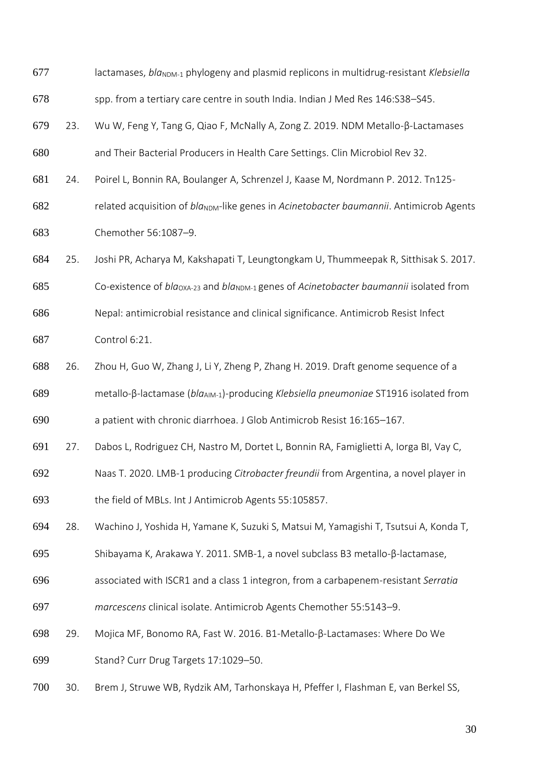677 lactamases, *bla*<sub>NDM-1</sub> phylogeny and plasmid replicons in multidrug-resistant *Klebsiella*  spp. from a tertiary care centre in south India. Indian J Med Res 146:S38–S45. 23. Wu W, Feng Y, Tang G, Qiao F, McNally A, Zong Z. 2019. NDM Metallo-β-Lactamases and Their Bacterial Producers in Health Care Settings. Clin Microbiol Rev 32. 24. Poirel L, Bonnin RA, Boulanger A, Schrenzel J, Kaase M, Nordmann P. 2012. Tn125- 682 related acquisition of *bla*<sub>NDM</sub>-like genes in *Acinetobacter baumannii*. Antimicrob Agents Chemother 56:1087–9. 25. Joshi PR, Acharya M, Kakshapati T, Leungtongkam U, Thummeepak R, Sitthisak S. 2017. 685 Co-existence of *bla*<sub>OXA-23</sub> and *bla*<sub>NDM-1</sub> genes of *Acinetobacter baumannii* isolated from Nepal: antimicrobial resistance and clinical significance. Antimicrob Resist Infect Control 6:21. 26. Zhou H, Guo W, Zhang J, Li Y, Zheng P, Zhang H. 2019. Draft genome sequence of a 689 metallo-β-lactamase (bla<sub>AIM-1</sub>)-producing *Klebsiella pneumoniae* ST1916 isolated from a patient with chronic diarrhoea. J Glob Antimicrob Resist 16:165–167. 27. Dabos L, Rodriguez CH, Nastro M, Dortet L, Bonnin RA, Famiglietti A, Iorga BI, Vay C, Naas T. 2020. LMB-1 producing *Citrobacter freundii* from Argentina, a novel player in the field of MBLs. Int J Antimicrob Agents 55:105857. 28. Wachino J, Yoshida H, Yamane K, Suzuki S, Matsui M, Yamagishi T, Tsutsui A, Konda T, Shibayama K, Arakawa Y. 2011. SMB-1, a novel subclass B3 metallo-β-lactamase, associated with ISCR1 and a class 1 integron, from a carbapenem-resistant *Serratia marcescens* clinical isolate. Antimicrob Agents Chemother 55:5143–9.

29. Mojica MF, Bonomo RA, Fast W. 2016. B1-Metallo-β-Lactamases: Where Do We

Stand? Curr Drug Targets 17:1029–50.

30. Brem J, Struwe WB, Rydzik AM, Tarhonskaya H, Pfeffer I, Flashman E, van Berkel SS,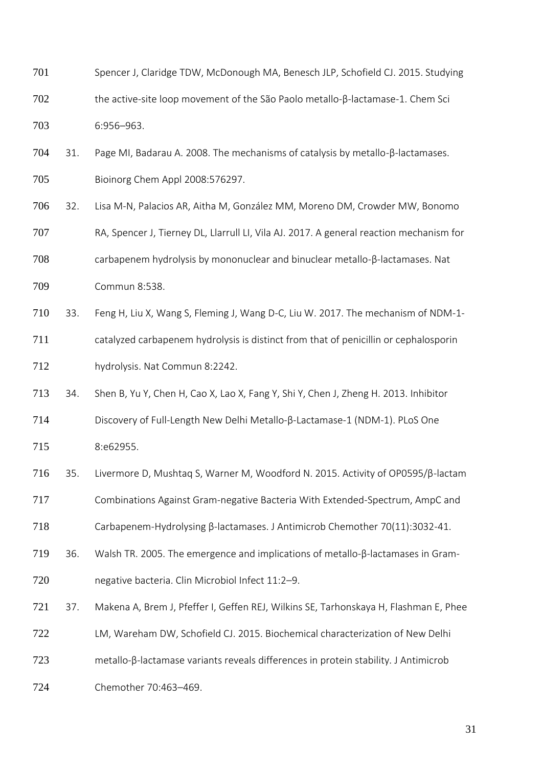| 701 |     | Spencer J, Claridge TDW, McDonough MA, Benesch JLP, Schofield CJ. 2015. Studying        |
|-----|-----|-----------------------------------------------------------------------------------------|
| 702 |     | the active-site loop movement of the São Paolo metallo-β-lactamase-1. Chem Sci          |
| 703 |     | 6:956-963.                                                                              |
| 704 | 31. | Page MI, Badarau A. 2008. The mechanisms of catalysis by metallo- $\beta$ -lactamases.  |
| 705 |     | Bioinorg Chem Appl 2008:576297.                                                         |
| 706 | 32. | Lisa M-N, Palacios AR, Aitha M, González MM, Moreno DM, Crowder MW, Bonomo              |
| 707 |     | RA, Spencer J, Tierney DL, Llarrull LI, Vila AJ. 2017. A general reaction mechanism for |
| 708 |     | carbapenem hydrolysis by mononuclear and binuclear metallo- $\beta$ -lactamases. Nat    |
| 709 |     | Commun 8:538.                                                                           |
| 710 | 33. | Feng H, Liu X, Wang S, Fleming J, Wang D-C, Liu W. 2017. The mechanism of NDM-1-        |
| 711 |     | catalyzed carbapenem hydrolysis is distinct from that of penicillin or cephalosporin    |
| 712 |     | hydrolysis. Nat Commun 8:2242.                                                          |
| 713 | 34. | Shen B, Yu Y, Chen H, Cao X, Lao X, Fang Y, Shi Y, Chen J, Zheng H. 2013. Inhibitor     |
| 714 |     | Discovery of Full-Length New Delhi Metallo-β-Lactamase-1 (NDM-1). PLoS One              |
| 715 |     | 8:e62955.                                                                               |
| 716 | 35. | Livermore D, Mushtaq S, Warner M, Woodford N. 2015. Activity of OP0595/β-lactam         |
| 717 |     | Combinations Against Gram-negative Bacteria With Extended-Spectrum, AmpC and            |
| 718 |     | Carbapenem-Hydrolysing β-lactamases. J Antimicrob Chemother 70(11):3032-41.             |
| 719 | 36. | Walsh TR. 2005. The emergence and implications of metallo-β-lactamases in Gram-         |
| 720 |     | negative bacteria. Clin Microbiol Infect 11:2-9.                                        |
| 721 | 37. | Makena A, Brem J, Pfeffer I, Geffen REJ, Wilkins SE, Tarhonskaya H, Flashman E, Phee    |
| 722 |     | LM, Wareham DW, Schofield CJ. 2015. Biochemical characterization of New Delhi           |
| 723 |     | metallo-ß-lactamase variants reveals differences in protein stability. J Antimicrob     |
| 724 |     | Chemother 70:463-469.                                                                   |
|     |     |                                                                                         |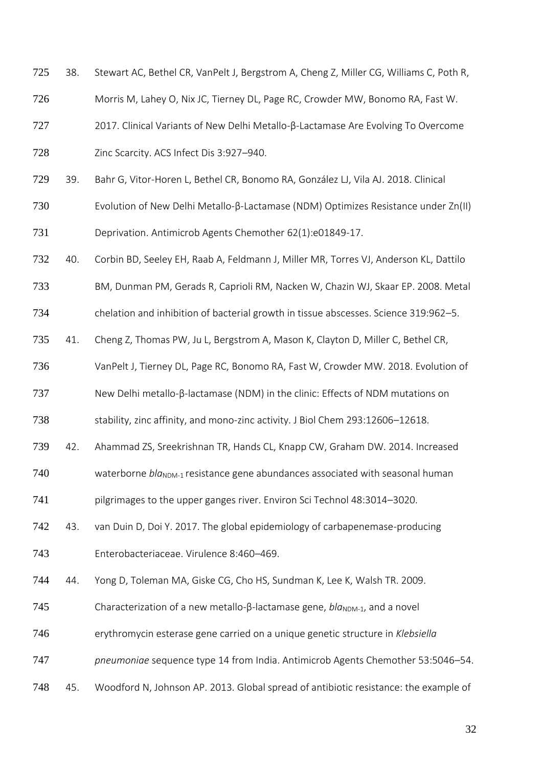- 38. Stewart AC, Bethel CR, VanPelt J, Bergstrom A, Cheng Z, Miller CG, Williams C, Poth R, Morris M, Lahey O, Nix JC, Tierney DL, Page RC, Crowder MW, Bonomo RA, Fast W. 2017. Clinical Variants of New Delhi Metallo-β-Lactamase Are Evolving To Overcome 728 Zinc Scarcity. ACS Infect Dis 3:927-940.
- 39. Bahr G, Vitor-Horen L, Bethel CR, Bonomo RA, González LJ, Vila AJ. 2018. Clinical
- Evolution of New Delhi Metallo-β-Lactamase (NDM) Optimizes Resistance under Zn(II) Deprivation. Antimicrob Agents Chemother 62(1):e01849-17.
- 40. Corbin BD, Seeley EH, Raab A, Feldmann J, Miller MR, Torres VJ, Anderson KL, Dattilo
- BM, Dunman PM, Gerads R, Caprioli RM, Nacken W, Chazin WJ, Skaar EP. 2008. Metal
- chelation and inhibition of bacterial growth in tissue abscesses. Science 319:962–5.
- 41. Cheng Z, Thomas PW, Ju L, Bergstrom A, Mason K, Clayton D, Miller C, Bethel CR,
- VanPelt J, Tierney DL, Page RC, Bonomo RA, Fast W, Crowder MW. 2018. Evolution of
- New Delhi metallo-β-lactamase (NDM) in the clinic: Effects of NDM mutations on

738 stability, zinc affinity, and mono-zinc activity. J Biol Chem 293:12606-12618.

- 42. Ahammad ZS, Sreekrishnan TR, Hands CL, Knapp CW, Graham DW. 2014. Increased
- 740 waterborne *bla<sub>NDM-1</sub>* resistance gene abundances associated with seasonal human
- 741 pilgrimages to the upper ganges river. Environ Sci Technol 48:3014-3020.
- 43. van Duin D, Doi Y. 2017. The global epidemiology of carbapenemase-producing Enterobacteriaceae. Virulence 8:460–469.
- 44. Yong D, Toleman MA, Giske CG, Cho HS, Sundman K, Lee K, Walsh TR. 2009.
- 745 Characterization of a new metallo-β-lactamase gene, *bla*<sub>NDM-1</sub>, and a novel
- erythromycin esterase gene carried on a unique genetic structure in *Klebsiella*
- *pneumoniae* sequence type 14 from India. Antimicrob Agents Chemother 53:5046–54.
- 45. Woodford N, Johnson AP. 2013. Global spread of antibiotic resistance: the example of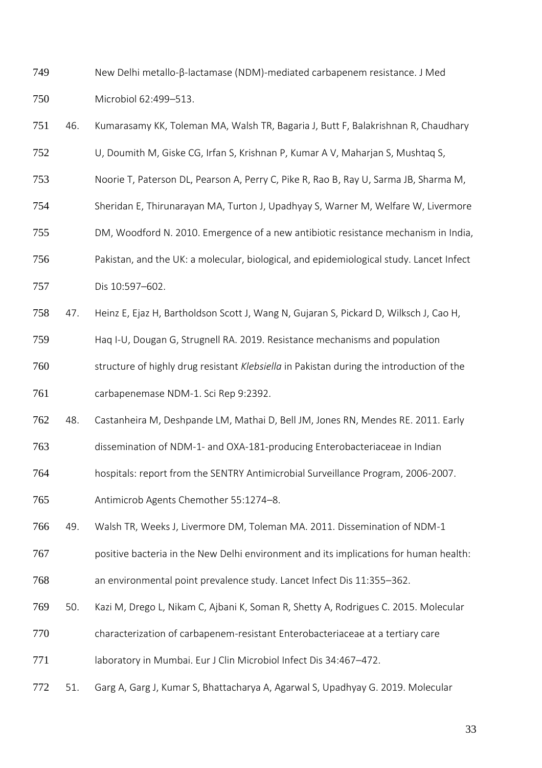New Delhi metallo-β-lactamase (NDM)-mediated carbapenem resistance. J Med Microbiol 62:499–513.

## 46. Kumarasamy KK, Toleman MA, Walsh TR, Bagaria J, Butt F, Balakrishnan R, Chaudhary

- U, Doumith M, Giske CG, Irfan S, Krishnan P, Kumar A V, Maharjan S, Mushtaq S,
- Noorie T, Paterson DL, Pearson A, Perry C, Pike R, Rao B, Ray U, Sarma JB, Sharma M,
- Sheridan E, Thirunarayan MA, Turton J, Upadhyay S, Warner M, Welfare W, Livermore
- DM, Woodford N. 2010. Emergence of a new antibiotic resistance mechanism in India,
- 756 Pakistan, and the UK: a molecular, biological, and epidemiological study. Lancet Infect
- Dis 10:597–602.
- 47. Heinz E, Ejaz H, Bartholdson Scott J, Wang N, Gujaran S, Pickard D, Wilksch J, Cao H,
- Haq I-U, Dougan G, Strugnell RA. 2019. Resistance mechanisms and population
- structure of highly drug resistant *Klebsiella* in Pakistan during the introduction of the carbapenemase NDM-1. Sci Rep 9:2392.
- 48. Castanheira M, Deshpande LM, Mathai D, Bell JM, Jones RN, Mendes RE. 2011. Early

dissemination of NDM-1- and OXA-181-producing Enterobacteriaceae in Indian

- hospitals: report from the SENTRY Antimicrobial Surveillance Program, 2006-2007.
- Antimicrob Agents Chemother 55:1274–8.
- 49. Walsh TR, Weeks J, Livermore DM, Toleman MA. 2011. Dissemination of NDM-1
- positive bacteria in the New Delhi environment and its implications for human health:
- an environmental point prevalence study. Lancet Infect Dis 11:355–362.
- 50. Kazi M, Drego L, Nikam C, Ajbani K, Soman R, Shetty A, Rodrigues C. 2015. Molecular
- characterization of carbapenem-resistant Enterobacteriaceae at a tertiary care
- 771 laboratory in Mumbai. Eur J Clin Microbiol Infect Dis 34:467-472.
- 51. Garg A, Garg J, Kumar S, Bhattacharya A, Agarwal S, Upadhyay G. 2019. Molecular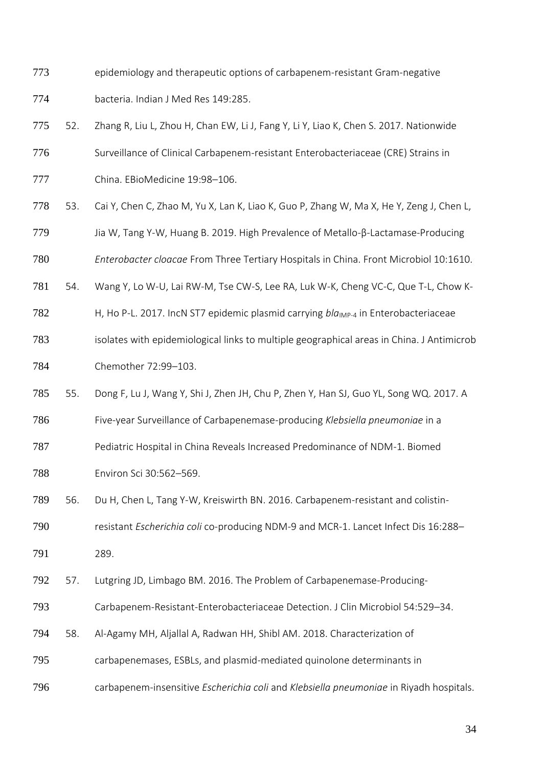epidemiology and therapeutic options of carbapenem-resistant Gram-negative bacteria. Indian J Med Res 149:285.

52. Zhang R, Liu L, Zhou H, Chan EW, Li J, Fang Y, Li Y, Liao K, Chen S. 2017. Nationwide

Surveillance of Clinical Carbapenem-resistant Enterobacteriaceae (CRE) Strains in

China. EBioMedicine 19:98–106.

53. Cai Y, Chen C, Zhao M, Yu X, Lan K, Liao K, Guo P, Zhang W, Ma X, He Y, Zeng J, Chen L,

Jia W, Tang Y-W, Huang B. 2019. High Prevalence of Metallo-β-Lactamase-Producing

*Enterobacter cloacae* From Three Tertiary Hospitals in China. Front Microbiol 10:1610.

54. Wang Y, Lo W-U, Lai RW-M, Tse CW-S, Lee RA, Luk W-K, Cheng VC-C, Que T-L, Chow K-

782 H, Ho P-L. 2017. IncN ST7 epidemic plasmid carrying *bla<sub>IMP-4</sub>* in Enterobacteriaceae

 isolates with epidemiological links to multiple geographical areas in China. J Antimicrob Chemother 72:99–103.

55. Dong F, Lu J, Wang Y, Shi J, Zhen JH, Chu P, Zhen Y, Han SJ, Guo YL, Song WQ. 2017. A

Five-year Surveillance of Carbapenemase-producing *Klebsiella pneumoniae* in a

Pediatric Hospital in China Reveals Increased Predominance of NDM-1. Biomed

Environ Sci 30:562–569.

56. Du H, Chen L, Tang Y-W, Kreiswirth BN. 2016. Carbapenem-resistant and colistin-

 resistant *Escherichia coli* co-producing NDM-9 and MCR-1. Lancet Infect Dis 16:288– 289.

57. Lutgring JD, Limbago BM. 2016. The Problem of Carbapenemase-Producing-

Carbapenem-Resistant-Enterobacteriaceae Detection. J Clin Microbiol 54:529–34.

- 58. Al-Agamy MH, Aljallal A, Radwan HH, Shibl AM. 2018. Characterization of
- carbapenemases, ESBLs, and plasmid-mediated quinolone determinants in
- carbapenem-insensitive *Escherichia coli* and *Klebsiella pneumoniae* in Riyadh hospitals.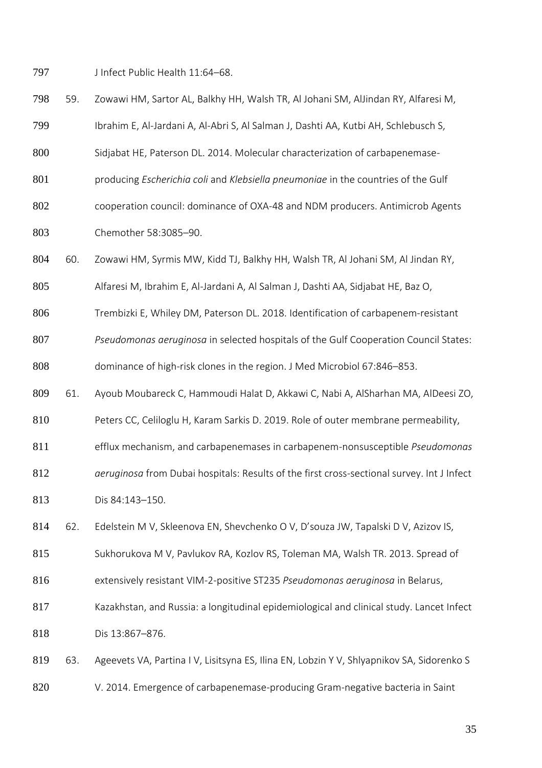797 J Infect Public Health 11:64-68.

 59. Zowawi HM, Sartor AL, Balkhy HH, Walsh TR, Al Johani SM, AlJindan RY, Alfaresi M, Ibrahim E, Al-Jardani A, Al-Abri S, Al Salman J, Dashti AA, Kutbi AH, Schlebusch S, Sidjabat HE, Paterson DL. 2014. Molecular characterization of carbapenemase- producing *Escherichia coli* and *Klebsiella pneumoniae* in the countries of the Gulf cooperation council: dominance of OXA-48 and NDM producers. Antimicrob Agents Chemother 58:3085–90. 60. Zowawi HM, Syrmis MW, Kidd TJ, Balkhy HH, Walsh TR, Al Johani SM, Al Jindan RY, Alfaresi M, Ibrahim E, Al-Jardani A, Al Salman J, Dashti AA, Sidjabat HE, Baz O, Trembizki E, Whiley DM, Paterson DL. 2018. Identification of carbapenem-resistant *Pseudomonas aeruginosa* in selected hospitals of the Gulf Cooperation Council States: dominance of high-risk clones in the region. J Med Microbiol 67:846–853. 61. Ayoub Moubareck C, Hammoudi Halat D, Akkawi C, Nabi A, AlSharhan MA, AlDeesi ZO, 810 Peters CC, Celiloglu H, Karam Sarkis D. 2019. Role of outer membrane permeability, efflux mechanism, and carbapenemases in carbapenem-nonsusceptible *Pseudomonas aeruginosa* from Dubai hospitals: Results of the first cross-sectional survey. Int J Infect Dis 84:143–150. 62. Edelstein M V, Skleenova EN, Shevchenko O V, D'souza JW, Tapalski D V, Azizov IS, 815 Sukhorukova M V, Pavlukov RA, Kozlov RS, Toleman MA, Walsh TR. 2013. Spread of extensively resistant VIM-2-positive ST235 *Pseudomonas aeruginosa* in Belarus, Kazakhstan, and Russia: a longitudinal epidemiological and clinical study. Lancet Infect Dis 13:867–876. 63. Ageevets VA, Partina I V, Lisitsyna ES, Ilina EN, Lobzin Y V, Shlyapnikov SA, Sidorenko S

V. 2014. Emergence of carbapenemase-producing Gram-negative bacteria in Saint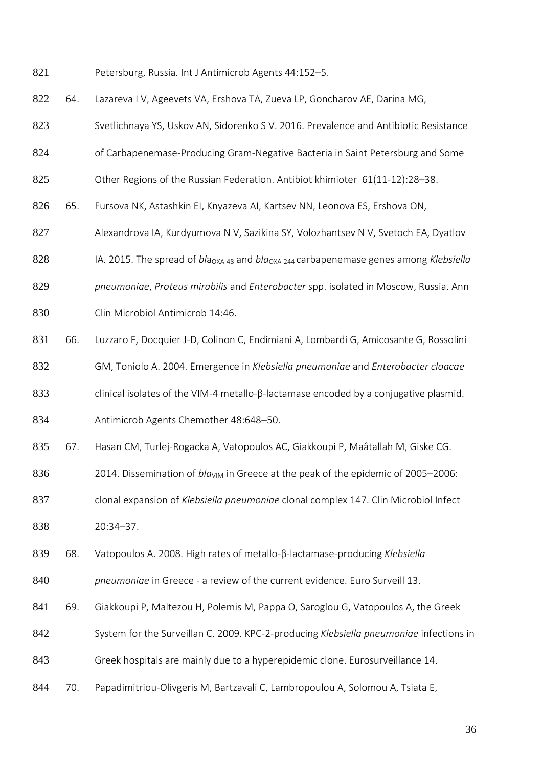821 Petersburg, Russia. Int J Antimicrob Agents 44:152-5.

64. Lazareva I V, Ageevets VA, Ershova TA, Zueva LP, Goncharov AE, Darina MG,

Svetlichnaya YS, Uskov AN, Sidorenko S V. 2016. Prevalence and Antibiotic Resistance

- 824 of Carbapenemase-Producing Gram-Negative Bacteria in Saint Petersburg and Some
- Other Regions of the Russian Federation. Antibiot khimioter 61(11-12):28–38.
- 65. Fursova NK, Astashkin EI, Knyazeva AI, Kartsev NN, Leonova ES, Ershova ON,
- 827 Alexandrova IA, Kurdyumova N V, Sazikina SY, Volozhantsev N V, Svetoch EA, Dyatlov

828 IA. 2015. The spread of *bla*<sub>OXA-48</sub> and *bla*<sub>OXA-244</sub> carbapenemase genes among *Klebsiella* 

*pneumoniae*, *Proteus mirabilis* and *Enterobacter* spp. isolated in Moscow, Russia. Ann

- Clin Microbiol Antimicrob 14:46.
- 66. Luzzaro F, Docquier J-D, Colinon C, Endimiani A, Lombardi G, Amicosante G, Rossolini

GM, Toniolo A. 2004. Emergence in *Klebsiella pneumoniae* and *Enterobacter cloacae* 

clinical isolates of the VIM-4 metallo-β-lactamase encoded by a conjugative plasmid.

Antimicrob Agents Chemother 48:648–50.

67. Hasan CM, Turlej-Rogacka A, Vatopoulos AC, Giakkoupi P, Maâtallah M, Giske CG.

836 2014. Dissemination of *bla*<sub>VIM</sub> in Greece at the peak of the epidemic of 2005–2006:

clonal expansion of *Klebsiella pneumoniae* clonal complex 147. Clin Microbiol Infect

20:34–37.

68. Vatopoulos A. 2008. High rates of metallo-β-lactamase-producing *Klebsiella* 

- *pneumoniae* in Greece a review of the current evidence. Euro Surveill 13.
- 69. Giakkoupi P, Maltezou H, Polemis M, Pappa O, Saroglou G, Vatopoulos A, the Greek
- System for the Surveillan C. 2009. KPC-2-producing *Klebsiella pneumoniae* infections in
- Greek hospitals are mainly due to a hyperepidemic clone. Eurosurveillance 14.
- 70. Papadimitriou-Olivgeris M, Bartzavali C, Lambropoulou A, Solomou A, Tsiata E,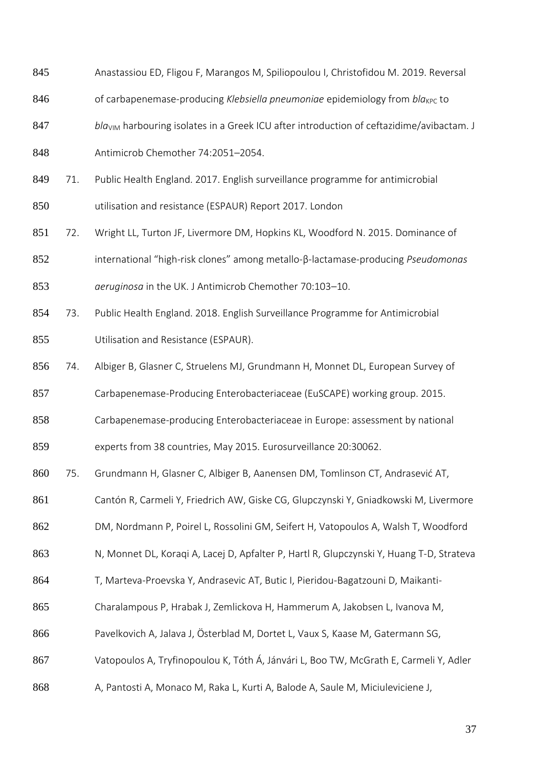- Anastassiou ED, Fligou F, Marangos M, Spiliopoulou I, Christofidou M. 2019. Reversal
- 846 of carbapenemase-producing *Klebsiella pneumoniae* epidemiology from *bla*<sub>KPC</sub> to
- 847 *bla*v<sub>IM</sub> harbouring isolates in a Greek ICU after introduction of ceftazidime/avibactam. J
- Antimicrob Chemother 74:2051–2054.
- 71. Public Health England. 2017. English surveillance programme for antimicrobial
- utilisation and resistance (ESPAUR) Report 2017. London
- 72. Wright LL, Turton JF, Livermore DM, Hopkins KL, Woodford N. 2015. Dominance of
- international "high-risk clones" among metallo-β-lactamase-producing *Pseudomonas*
- *aeruginosa* in the UK. J Antimicrob Chemother 70:103–10.
- 73. Public Health England. 2018. English Surveillance Programme for Antimicrobial
- Utilisation and Resistance (ESPAUR).
- 74. Albiger B, Glasner C, Struelens MJ, Grundmann H, Monnet DL, European Survey of
- Carbapenemase-Producing Enterobacteriaceae (EuSCAPE) working group. 2015.
- Carbapenemase-producing Enterobacteriaceae in Europe: assessment by national
- experts from 38 countries, May 2015. Eurosurveillance 20:30062.
- 75. Grundmann H, Glasner C, Albiger B, Aanensen DM, Tomlinson CT, Andrasević AT,
- Cantón R, Carmeli Y, Friedrich AW, Giske CG, Glupczynski Y, Gniadkowski M, Livermore
- DM, Nordmann P, Poirel L, Rossolini GM, Seifert H, Vatopoulos A, Walsh T, Woodford
- 863 N, Monnet DL, Koraqi A, Lacej D, Apfalter P, Hartl R, Glupczynski Y, Huang T-D, Strateva
- T, Marteva-Proevska Y, Andrasevic AT, Butic I, Pieridou-Bagatzouni D, Maikanti-
- Charalampous P, Hrabak J, Zemlickova H, Hammerum A, Jakobsen L, Ivanova M,
- Pavelkovich A, Jalava J, Österblad M, Dortet L, Vaux S, Kaase M, Gatermann SG,
- Vatopoulos A, Tryfinopoulou K, Tóth Á, Jánvári L, Boo TW, McGrath E, Carmeli Y, Adler
- 868 A, Pantosti A, Monaco M, Raka L, Kurti A, Balode A, Saule M, Miciuleviciene J,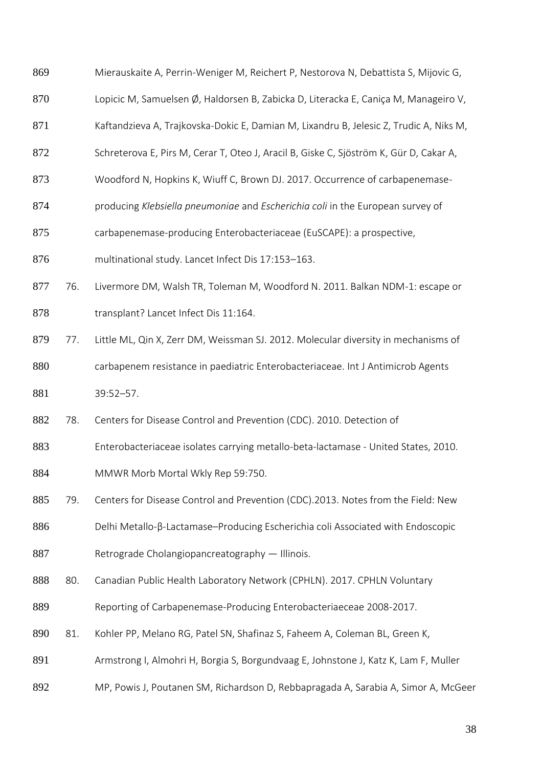- Mierauskaite A, Perrin-Weniger M, Reichert P, Nestorova N, Debattista S, Mijovic G,
- 870 Lopicic M, Samuelsen Ø, Haldorsen B, Zabicka D, Literacka E, Caniça M, Manageiro V,
- 871 Kaftandzieva A, Trajkovska-Dokic E, Damian M, Lixandru B, Jelesic Z, Trudic A, Niks M,
- Schreterova E, Pirs M, Cerar T, Oteo J, Aracil B, Giske C, Sjöström K, Gür D, Cakar A,
- Woodford N, Hopkins K, Wiuff C, Brown DJ. 2017. Occurrence of carbapenemase-
- producing *Klebsiella pneumoniae* and *Escherichia coli* in the European survey of
- carbapenemase-producing Enterobacteriaceae (EuSCAPE): a prospective,
- multinational study. Lancet Infect Dis 17:153–163.
- 76. Livermore DM, Walsh TR, Toleman M, Woodford N. 2011. Balkan NDM-1: escape or transplant? Lancet Infect Dis 11:164.
- 77. Little ML, Qin X, Zerr DM, Weissman SJ. 2012. Molecular diversity in mechanisms of carbapenem resistance in paediatric Enterobacteriaceae. Int J Antimicrob Agents 39:52–57.
- 78. Centers for Disease Control and Prevention (CDC). 2010. Detection of
- Enterobacteriaceae isolates carrying metallo-beta-lactamase United States, 2010.
- MMWR Morb Mortal Wkly Rep 59:750.
- 79. Centers for Disease Control and Prevention (CDC).2013. Notes from the Field: New
- 886 Delhi Metallo-β-Lactamase–Producing Escherichia coli Associated with Endoscopic
- 887 Retrograde Cholangiopancreatography Illinois.
- 888 80. Canadian Public Health Laboratory Network (CPHLN). 2017. CPHLN Voluntary
- Reporting of Carbapenemase-Producing Enterobacteriaeceae 2008-2017.
- 81. Kohler PP, Melano RG, Patel SN, Shafinaz S, Faheem A, Coleman BL, Green K,
- Armstrong I, Almohri H, Borgia S, Borgundvaag E, Johnstone J, Katz K, Lam F, Muller
- MP, Powis J, Poutanen SM, Richardson D, Rebbapragada A, Sarabia A, Simor A, McGeer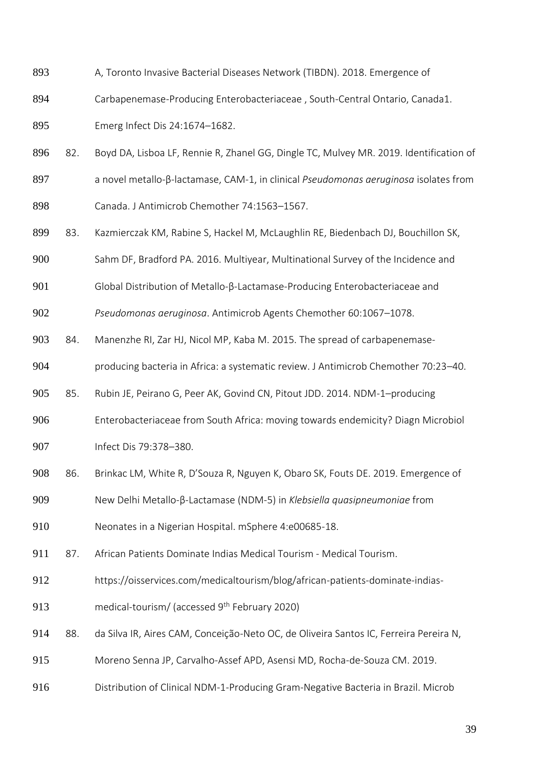- 893 A, Toronto Invasive Bacterial Diseases Network (TIBDN). 2018. Emergence of
- Carbapenemase-Producing Enterobacteriaceae , South-Central Ontario, Canada1.

Emerg Infect Dis 24:1674–1682.

- 82. Boyd DA, Lisboa LF, Rennie R, Zhanel GG, Dingle TC, Mulvey MR. 2019. Identification of
- a novel metallo-β-lactamase, CAM-1, in clinical *Pseudomonas aeruginosa* isolates from Canada. J Antimicrob Chemother 74:1563–1567.
- 83. Kazmierczak KM, Rabine S, Hackel M, McLaughlin RE, Biedenbach DJ, Bouchillon SK,
- Sahm DF, Bradford PA. 2016. Multiyear, Multinational Survey of the Incidence and
- Global Distribution of Metallo-β-Lactamase-Producing Enterobacteriaceae and
- *Pseudomonas aeruginosa*. Antimicrob Agents Chemother 60:1067–1078.
- 84. Manenzhe RI, Zar HJ, Nicol MP, Kaba M. 2015. The spread of carbapenemase-
- producing bacteria in Africa: a systematic review. J Antimicrob Chemother 70:23–40.
- 85. Rubin JE, Peirano G, Peer AK, Govind CN, Pitout JDD. 2014. NDM-1–producing
- Enterobacteriaceae from South Africa: moving towards endemicity? Diagn Microbiol
- Infect Dis 79:378–380.
- 86. Brinkac LM, White R, D'Souza R, Nguyen K, Obaro SK, Fouts DE. 2019. Emergence of
- New Delhi Metallo-β-Lactamase (NDM-5) in *Klebsiella quasipneumoniae* from
- Neonates in a Nigerian Hospital. mSphere 4:e00685-18.
- 911 87. African Patients Dominate Indias Medical Tourism Medical Tourism.
- https://oisservices.com/medicaltourism/blog/african-patients-dominate-indias-
- 913 medical-tourism/ (accessed  $9<sup>th</sup>$  February 2020)
- 88. da Silva IR, Aires CAM, Conceição-Neto OC, de Oliveira Santos IC, Ferreira Pereira N,
- Moreno Senna JP, Carvalho-Assef APD, Asensi MD, Rocha-de-Souza CM. 2019.
- Distribution of Clinical NDM-1-Producing Gram-Negative Bacteria in Brazil. Microb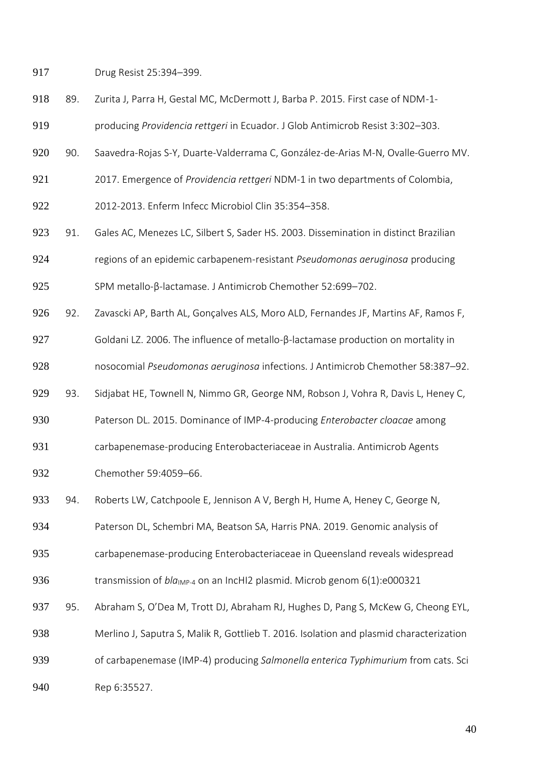Drug Resist 25:394–399.

89. Zurita J, Parra H, Gestal MC, McDermott J, Barba P. 2015. First case of NDM-1-

producing *Providencia rettgeri* in Ecuador. J Glob Antimicrob Resist 3:302–303.

- 90. Saavedra-Rojas S-Y, Duarte-Valderrama C, González-de-Arias M-N, Ovalle-Guerro MV.
- 2017. Emergence of *Providencia rettgeri* NDM-1 in two departments of Colombia,

2012-2013. Enferm Infecc Microbiol Clin 35:354–358.

91. Gales AC, Menezes LC, Silbert S, Sader HS. 2003. Dissemination in distinct Brazilian

regions of an epidemic carbapenem-resistant *Pseudomonas aeruginosa* producing

SPM metallo-β-lactamase. J Antimicrob Chemother 52:699–702.

926 92. Zavascki AP, Barth AL, Gonçalves ALS, Moro ALD, Fernandes JF, Martins AF, Ramos F,

Goldani LZ. 2006. The influence of metallo-β-lactamase production on mortality in

nosocomial *Pseudomonas aeruginosa* infections. J Antimicrob Chemother 58:387–92.

929 93. Sidjabat HE, Townell N, Nimmo GR, George NM, Robson J, Vohra R, Davis L, Heney C,

Paterson DL. 2015. Dominance of IMP-4-producing *Enterobacter cloacae* among

carbapenemase-producing Enterobacteriaceae in Australia. Antimicrob Agents

Chemother 59:4059–66.

933 94. Roberts LW, Catchpoole E, Jennison A V, Bergh H, Hume A, Heney C, George N,

Paterson DL, Schembri MA, Beatson SA, Harris PNA. 2019. Genomic analysis of

carbapenemase-producing Enterobacteriaceae in Queensland reveals widespread

- 936 transmission of *bla*<sub>IMP-4</sub> on an IncHI2 plasmid. Microb genom 6(1):e000321
- 95. Abraham S, O'Dea M, Trott DJ, Abraham RJ, Hughes D, Pang S, McKew G, Cheong EYL,
- 938 Merlino J, Saputra S, Malik R, Gottlieb T. 2016. Isolation and plasmid characterization
- of carbapenemase (IMP-4) producing *Salmonella enterica Typhimurium* from cats. Sci

Rep 6:35527.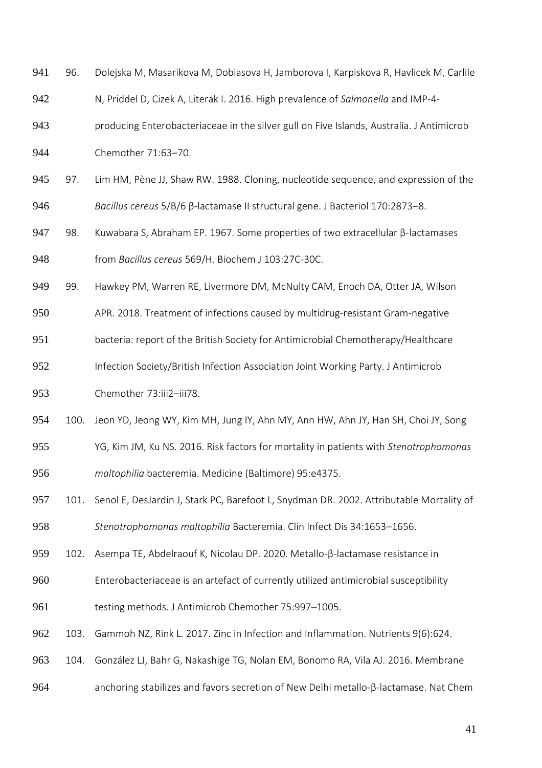| 941 | 96.  | Dolejska M, Masarikova M, Dobiasova H, Jamborova I, Karpiskova R, Havlicek M, Carlile    |
|-----|------|------------------------------------------------------------------------------------------|
| 942 |      | N, Priddel D, Cizek A, Literak I. 2016. High prevalence of Salmonella and IMP-4-         |
| 943 |      | producing Enterobacteriaceae in the silver gull on Five Islands, Australia. J Antimicrob |
| 944 |      | Chemother 71:63-70.                                                                      |
| 945 | 97.  | Lim HM, Pène JJ, Shaw RW. 1988. Cloning, nucleotide sequence, and expression of the      |
| 946 |      | Bacillus cereus 5/B/6 ß-lactamase II structural gene. J Bacteriol 170:2873-8.            |
| 947 | 98.  | Kuwabara S, Abraham EP. 1967. Some properties of two extracellular $\beta$ -lactamases   |
| 948 |      | from Bacillus cereus 569/H. Biochem J 103:27C-30C.                                       |
| 949 | 99.  | Hawkey PM, Warren RE, Livermore DM, McNulty CAM, Enoch DA, Otter JA, Wilson              |
| 950 |      | APR. 2018. Treatment of infections caused by multidrug-resistant Gram-negative           |
| 951 |      | bacteria: report of the British Society for Antimicrobial Chemotherapy/Healthcare        |
| 952 |      | Infection Society/British Infection Association Joint Working Party. J Antimicrob        |
| 953 |      | Chemother 73:iii2-iii78.                                                                 |
| 954 | 100. | Jeon YD, Jeong WY, Kim MH, Jung IY, Ahn MY, Ann HW, Ahn JY, Han SH, Choi JY, Song        |
| 955 |      | YG, Kim JM, Ku NS. 2016. Risk factors for mortality in patients with Stenotrophomonas    |
| 956 |      | maltophilia bacteremia. Medicine (Baltimore) 95:e4375.                                   |
| 957 | 101. | Senol E, DesJardin J, Stark PC, Barefoot L, Snydman DR. 2002. Attributable Mortality of  |
| 958 |      | Stenotrophomonas maltophilia Bacteremia. Clin Infect Dis 34:1653-1656.                   |
| 959 | 102. | Asempa TE, Abdelraouf K, Nicolau DP. 2020. Metallo-β-lactamase resistance in             |
| 960 |      | Enterobacteriaceae is an artefact of currently utilized antimicrobial susceptibility     |
| 961 |      | testing methods. J Antimicrob Chemother 75:997-1005.                                     |

- 103. Gammoh NZ, Rink L. 2017. Zinc in Infection and Inflammation. Nutrients 9(6):624.
- 104. González LJ, Bahr G, Nakashige TG, Nolan EM, Bonomo RA, Vila AJ. 2016. Membrane
- anchoring stabilizes and favors secretion of New Delhi metallo-β-lactamase. Nat Chem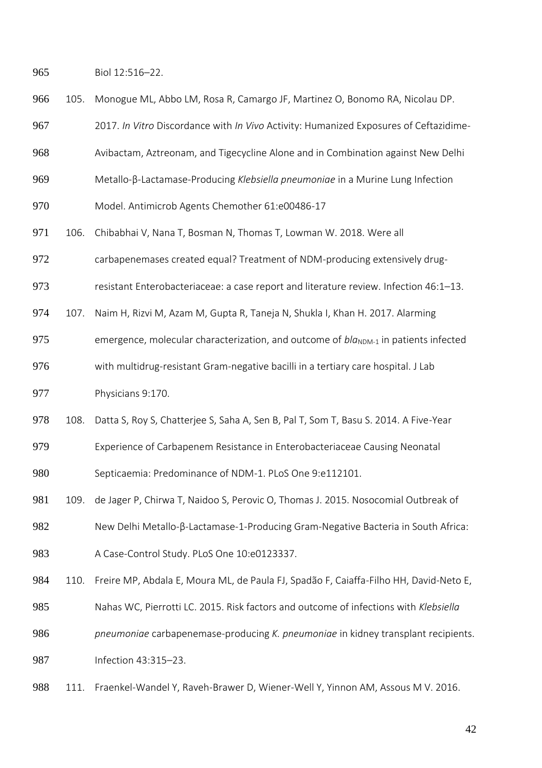Biol 12:516–22.

- 105. Monogue ML, Abbo LM, Rosa R, Camargo JF, Martinez O, Bonomo RA, Nicolau DP.
- 2017. *In Vitro* Discordance with *In Vivo* Activity: Humanized Exposures of Ceftazidime-
- Avibactam, Aztreonam, and Tigecycline Alone and in Combination against New Delhi
- Metallo-β-Lactamase-Producing *Klebsiella pneumoniae* in a Murine Lung Infection
- Model. Antimicrob Agents Chemother 61:e00486-17
- 971 106. Chibabhai V, Nana T, Bosman N, Thomas T, Lowman W. 2018. Were all
- carbapenemases created equal? Treatment of NDM-producing extensively drug-
- 973 resistant Enterobacteriaceae: a case report and literature review. Infection 46:1–13.
- 107. Naim H, Rizvi M, Azam M, Gupta R, Taneja N, Shukla I, Khan H. 2017. Alarming
- 975 emergence, molecular characterization, and outcome of *bla<sub>NDM-1</sub>* in patients infected with multidrug-resistant Gram-negative bacilli in a tertiary care hospital. J Lab
- Physicians 9:170.
- 978 108. Datta S, Roy S, Chatterjee S, Saha A, Sen B, Pal T, Som T, Basu S. 2014. A Five-Year
- Experience of Carbapenem Resistance in Enterobacteriaceae Causing Neonatal

Septicaemia: Predominance of NDM-1. PLoS One 9:e112101.

- 981 109. de Jager P, Chirwa T, Naidoo S, Perovic O, Thomas J. 2015. Nosocomial Outbreak of
- 982 New Delhi Metallo-β-Lactamase-1-Producing Gram-Negative Bacteria in South Africa:
- 983 A Case-Control Study. PLoS One 10:e0123337.
- 110. Freire MP, Abdala E, Moura ML, de Paula FJ, Spadão F, Caiaffa-Filho HH, David-Neto E,
- Nahas WC, Pierrotti LC. 2015. Risk factors and outcome of infections with *Klebsiella*
- *pneumoniae* carbapenemase-producing *K. pneumoniae* in kidney transplant recipients.
- Infection 43:315–23.
- 111. Fraenkel-Wandel Y, Raveh-Brawer D, Wiener-Well Y, Yinnon AM, Assous M V. 2016.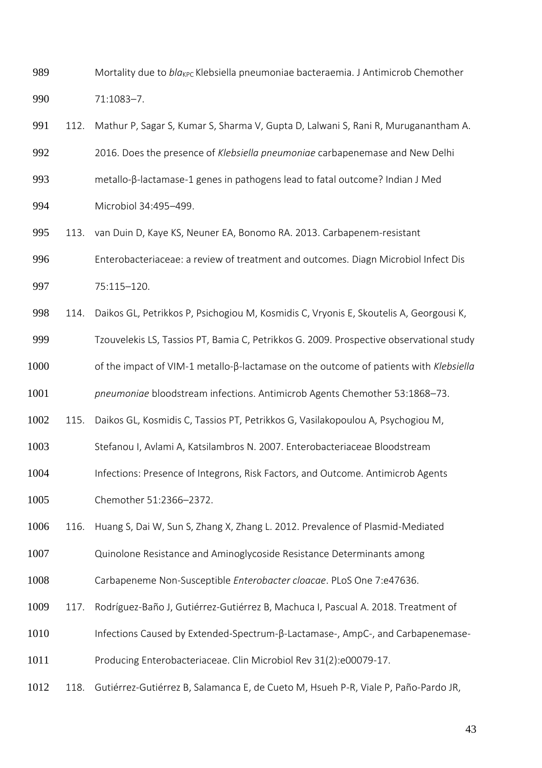989 Mortality due to *bla<sub>KPC</sub>* Klebsiella pneumoniae bacteraemia. J Antimicrob Chemother 71:1083–7.

 112. Mathur P, Sagar S, Kumar S, Sharma V, Gupta D, Lalwani S, Rani R, Muruganantham A. 2016. Does the presence of *Klebsiella pneumoniae* carbapenemase and New Delhi metallo-β-lactamase-1 genes in pathogens lead to fatal outcome? Indian J Med Microbiol 34:495–499.

 113. van Duin D, Kaye KS, Neuner EA, Bonomo RA. 2013. Carbapenem-resistant Enterobacteriaceae: a review of treatment and outcomes. Diagn Microbiol Infect Dis

75:115–120.

114. Daikos GL, Petrikkos P, Psichogiou M, Kosmidis C, Vryonis E, Skoutelis A, Georgousi K,

Tzouvelekis LS, Tassios PT, Bamia C, Petrikkos G. 2009. Prospective observational study

of the impact of VIM-1 metallo-β-lactamase on the outcome of patients with *Klebsiella* 

*pneumoniae* bloodstream infections. Antimicrob Agents Chemother 53:1868–73.

115. Daikos GL, Kosmidis C, Tassios PT, Petrikkos G, Vasilakopoulou A, Psychogiou M,

Stefanou I, Avlami A, Katsilambros N. 2007. Enterobacteriaceae Bloodstream

1004 Infections: Presence of Integrons, Risk Factors, and Outcome. Antimicrob Agents

Chemother 51:2366–2372.

116. Huang S, Dai W, Sun S, Zhang X, Zhang L. 2012. Prevalence of Plasmid-Mediated

Quinolone Resistance and Aminoglycoside Resistance Determinants among

Carbapeneme Non-Susceptible *Enterobacter cloacae*. PLoS One 7:e47636.

117. Rodríguez-Baño J, Gutiérrez-Gutiérrez B, Machuca I, Pascual A. 2018. Treatment of

1010 Infections Caused by Extended-Spectrum-β-Lactamase-, AmpC-, and Carbapenemase-

Producing Enterobacteriaceae. Clin Microbiol Rev 31(2):e00079-17.

118. Gutiérrez-Gutiérrez B, Salamanca E, de Cueto M, Hsueh P-R, Viale P, Paño-Pardo JR,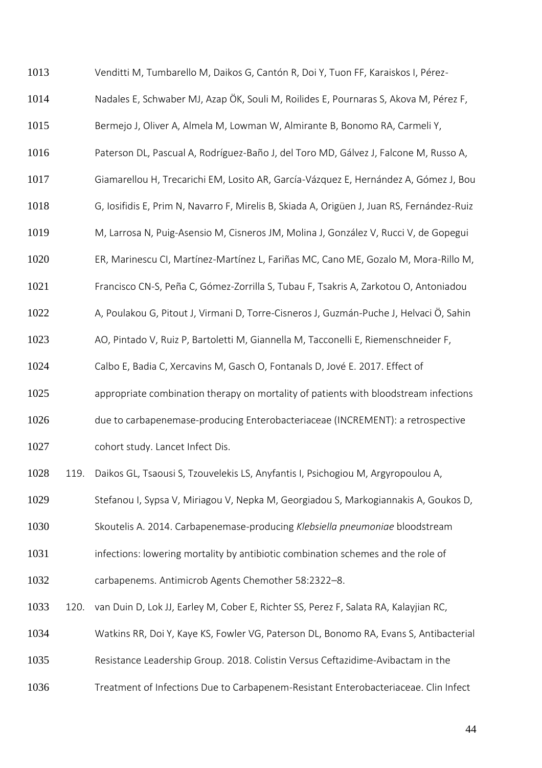| 1013 |      | Venditti M, Tumbarello M, Daikos G, Cantón R, Doi Y, Tuon FF, Karaiskos I, Pérez-          |
|------|------|--------------------------------------------------------------------------------------------|
| 1014 |      | Nadales E, Schwaber MJ, Azap ÖK, Souli M, Roilides E, Pournaras S, Akova M, Pérez F,       |
| 1015 |      | Bermejo J, Oliver A, Almela M, Lowman W, Almirante B, Bonomo RA, Carmeli Y,                |
| 1016 |      | Paterson DL, Pascual A, Rodríguez-Baño J, del Toro MD, Gálvez J, Falcone M, Russo A,       |
| 1017 |      | Giamarellou H, Trecarichi EM, Losito AR, García-Vázquez E, Hernández A, Gómez J, Bou       |
| 1018 |      | G, Iosifidis E, Prim N, Navarro F, Mirelis B, Skiada A, Origüen J, Juan RS, Fernández-Ruiz |
| 1019 |      | M, Larrosa N, Puig-Asensio M, Cisneros JM, Molina J, González V, Rucci V, de Gopegui       |
| 1020 |      | ER, Marinescu CI, Martínez-Martínez L, Fariñas MC, Cano ME, Gozalo M, Mora-Rillo M,        |
| 1021 |      | Francisco CN-S, Peña C, Gómez-Zorrilla S, Tubau F, Tsakris A, Zarkotou O, Antoniadou       |
| 1022 |      | A, Poulakou G, Pitout J, Virmani D, Torre-Cisneros J, Guzmán-Puche J, Helvaci Ö, Sahin     |
| 1023 |      | AO, Pintado V, Ruiz P, Bartoletti M, Giannella M, Tacconelli E, Riemenschneider F,         |
| 1024 |      | Calbo E, Badia C, Xercavins M, Gasch O, Fontanals D, Jové E. 2017. Effect of               |
| 1025 |      | appropriate combination therapy on mortality of patients with bloodstream infections       |
| 1026 |      | due to carbapenemase-producing Enterobacteriaceae (INCREMENT): a retrospective             |
| 1027 |      | cohort study. Lancet Infect Dis.                                                           |
| 1028 |      | 119. Daikos GL, Tsaousi S, Tzouvelekis LS, Anyfantis I, Psichogiou M, Argyropoulou A,      |
| 1029 |      | Stefanou I, Sypsa V, Miriagou V, Nepka M, Georgiadou S, Markogiannakis A, Goukos D,        |
| 1030 |      | Skoutelis A. 2014. Carbapenemase-producing Klebsiella pneumoniae bloodstream               |
| 1031 |      | infections: lowering mortality by antibiotic combination schemes and the role of           |
| 1032 |      | carbapenems. Antimicrob Agents Chemother 58:2322-8.                                        |
| 1033 | 120. | van Duin D, Lok JJ, Earley M, Cober E, Richter SS, Perez F, Salata RA, Kalayjian RC,       |
| 1034 |      | Watkins RR, Doi Y, Kaye KS, Fowler VG, Paterson DL, Bonomo RA, Evans S, Antibacterial      |
| 1035 |      | Resistance Leadership Group. 2018. Colistin Versus Ceftazidime-Avibactam in the            |
| 1036 |      | Treatment of Infections Due to Carbapenem-Resistant Enterobacteriaceae. Clin Infect        |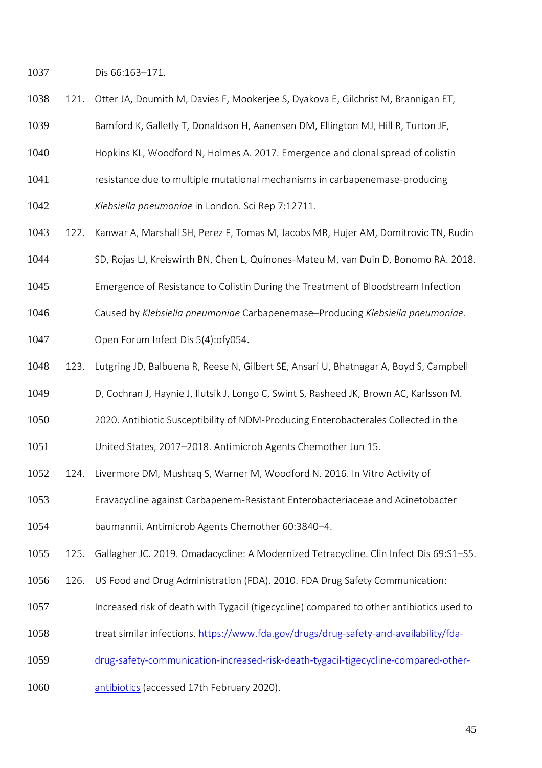Dis 66:163–171.

- 121. Otter JA, Doumith M, Davies F, Mookerjee S, Dyakova E, Gilchrist M, Brannigan ET,
- Bamford K, Galletly T, Donaldson H, Aanensen DM, Ellington MJ, Hill R, Turton JF,
- Hopkins KL, Woodford N, Holmes A. 2017. Emergence and clonal spread of colistin
- resistance due to multiple mutational mechanisms in carbapenemase-producing
- *Klebsiella pneumoniae* in London. Sci Rep 7:12711.
- 122. Kanwar A, Marshall SH, Perez F, Tomas M, Jacobs MR, Hujer AM, Domitrovic TN, Rudin
- SD, Rojas LJ, Kreiswirth BN, Chen L, Quinones-Mateu M, van Duin D, Bonomo RA. 2018.
- Emergence of Resistance to Colistin During the Treatment of Bloodstream Infection
- Caused by *Klebsiella pneumoniae* Carbapenemase–Producing *Klebsiella pneumoniae*.
- Open Forum Infect Dis 5(4):ofy054.
- 123. Lutgring JD, Balbuena R, Reese N, Gilbert SE, Ansari U, Bhatnagar A, Boyd S, Campbell
- D, Cochran J, Haynie J, Ilutsik J, Longo C, Swint S, Rasheed JK, Brown AC, Karlsson M.
- 2020. Antibiotic Susceptibility of NDM-Producing Enterobacterales Collected in the
- United States, 2017–2018. Antimicrob Agents Chemother Jun 15.
- 124. Livermore DM, Mushtaq S, Warner M, Woodford N. 2016. In Vitro Activity of
- Eravacycline against Carbapenem-Resistant Enterobacteriaceae and Acinetobacter
- baumannii. Antimicrob Agents Chemother 60:3840–4.
- 125. Gallagher JC. 2019. Omadacycline: A Modernized Tetracycline. Clin Infect Dis 69:S1–S5.
- 126. US Food and Drug Administration (FDA). 2010. FDA Drug Safety Communication:
- Increased risk of death with Tygacil (tigecycline) compared to other antibiotics used to
- treat similar infections. [https://www.fda.gov/drugs/drug-safety-and-availability/fda-](https://www.fda.gov/drugs/drug-safety-and-availability/fda-drug-safety-communication-increased-risk-death-tygacil-tigecycline-compared-other-antibiotics)
- [drug-safety-communication-increased-risk-death-tygacil-tigecycline-compared-other-](https://www.fda.gov/drugs/drug-safety-and-availability/fda-drug-safety-communication-increased-risk-death-tygacil-tigecycline-compared-other-antibiotics)
- [antibiotics](https://www.fda.gov/drugs/drug-safety-and-availability/fda-drug-safety-communication-increased-risk-death-tygacil-tigecycline-compared-other-antibiotics) (accessed 17th February 2020).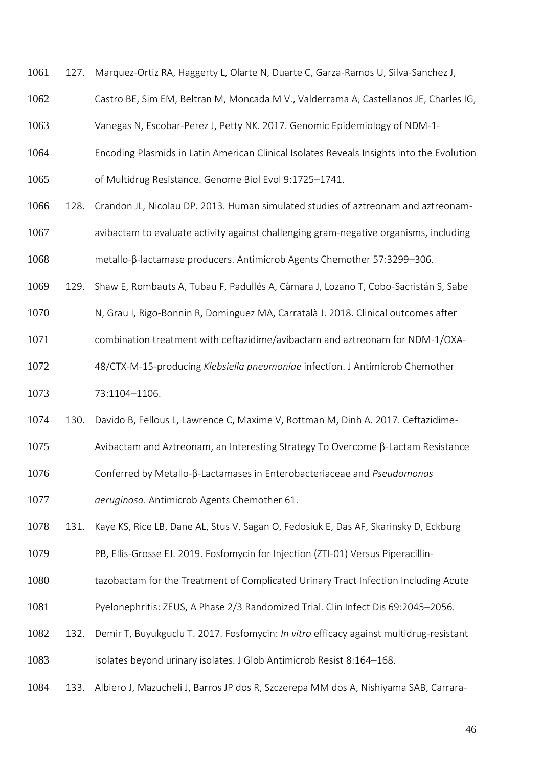127. Marquez-Ortiz RA, Haggerty L, Olarte N, Duarte C, Garza-Ramos U, Silva-Sanchez J,

- Castro BE, Sim EM, Beltran M, Moncada M V., Valderrama A, Castellanos JE, Charles IG,
- Vanegas N, Escobar-Perez J, Petty NK. 2017. Genomic Epidemiology of NDM-1-
- Encoding Plasmids in Latin American Clinical Isolates Reveals Insights into the Evolution
- of Multidrug Resistance. Genome Biol Evol 9:1725–1741.
- 128. Crandon JL, Nicolau DP. 2013. Human simulated studies of aztreonam and aztreonam-
- avibactam to evaluate activity against challenging gram-negative organisms, including metallo-β-lactamase producers. Antimicrob Agents Chemother 57:3299–306.
- 129. Shaw E, Rombauts A, Tubau F, Padullés A, Càmara J, Lozano T, Cobo-Sacristán S, Sabe
- N, Grau I, Rigo-Bonnin R, Dominguez MA, Carratalà J. 2018. Clinical outcomes after
- combination treatment with ceftazidime/avibactam and aztreonam for NDM-1/OXA-
- 48/CTX-M-15-producing *Klebsiella pneumoniae* infection. J Antimicrob Chemother
- 73:1104–1106.

130. Davido B, Fellous L, Lawrence C, Maxime V, Rottman M, Dinh A. 2017. Ceftazidime-

Avibactam and Aztreonam, an Interesting Strategy To Overcome β-Lactam Resistance

Conferred by Metallo-β-Lactamases in Enterobacteriaceae and *Pseudomonas* 

*aeruginosa*. Antimicrob Agents Chemother 61.

131. Kaye KS, Rice LB, Dane AL, Stus V, Sagan O, Fedosiuk E, Das AF, Skarinsky D, Eckburg

PB, Ellis-Grosse EJ. 2019. Fosfomycin for Injection (ZTI-01) Versus Piperacillin-

- tazobactam for the Treatment of Complicated Urinary Tract Infection Including Acute
- Pyelonephritis: ZEUS, A Phase 2/3 Randomized Trial. Clin Infect Dis 69:2045–2056.
- 132. Demir T, Buyukguclu T. 2017. Fosfomycin: *In vitro* efficacy against multidrug-resistant 1083 isolates beyond urinary isolates. J Glob Antimicrob Resist 8:164-168.
- 133. Albiero J, Mazucheli J, Barros JP dos R, Szczerepa MM dos A, Nishiyama SAB, Carrara-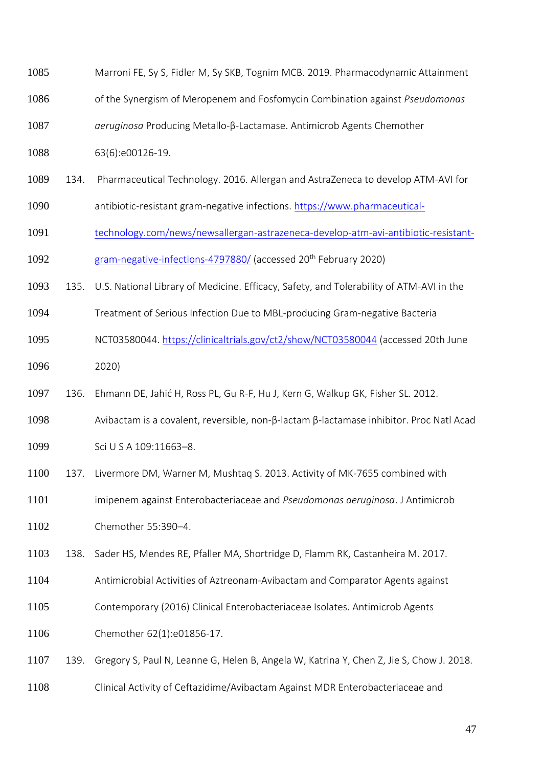| 1085 |      | Marroni FE, Sy S, Fidler M, Sy SKB, Tognim MCB. 2019. Pharmacodynamic Attainment    |
|------|------|-------------------------------------------------------------------------------------|
| 1086 |      | of the Synergism of Meropenem and Fosfomycin Combination against <i>Pseudomonas</i> |
| 1087 |      | <i>aeruginosa</i> Producing Metallo-β-Lactamase. Antimicrob Agents Chemother        |
| 1088 |      | 63(6):e00126-19.                                                                    |
| 1089 | 134. | Pharmaceutical Technology. 2016. Allergan and AstraZeneca to develop ATM-AVI for    |
| 1090 |      | antibiotic-resistant gram-negative infections. https://www.pharmaceutical-          |
| 1091 |      | technology.com/news/newsallergan-astrazeneca-develop-atm-avi-antibiotic-resistant-  |

- [gram-negative-infections-4797880/](https://www.pharmaceutical-technology.com/news/newsallergan-astrazeneca-develop-atm-avi-antibiotic-resistant-gram-negative-infections-4797880/) (accessed 20<sup>th</sup> February 2020)
- 135. U.S. National Library of Medicine. Efficacy, Safety, and Tolerability of ATM-AVI in the
- Treatment of Serious Infection Due to MBL-producing Gram-negative Bacteria
- NCT03580044.<https://clinicaltrials.gov/ct2/show/NCT03580044> (accessed 20th June 2020)
- 136. Ehmann DE, Jahić H, Ross PL, Gu R-F, Hu J, Kern G, Walkup GK, Fisher SL. 2012.
- Avibactam is a covalent, reversible, non-β-lactam β-lactamase inhibitor. Proc Natl Acad
- Sci U S A 109:11663–8.
- 137. Livermore DM, Warner M, Mushtaq S. 2013. Activity of MK-7655 combined with
- imipenem against Enterobacteriaceae and *Pseudomonas aeruginosa*. J Antimicrob
- Chemother 55:390–4.
- 138. Sader HS, Mendes RE, Pfaller MA, Shortridge D, Flamm RK, Castanheira M. 2017.
- Antimicrobial Activities of Aztreonam-Avibactam and Comparator Agents against
- Contemporary (2016) Clinical Enterobacteriaceae Isolates. Antimicrob Agents
- Chemother 62(1):e01856-17.
- 139. Gregory S, Paul N, Leanne G, Helen B, Angela W, Katrina Y, Chen Z, Jie S, Chow J. 2018.
- Clinical Activity of Ceftazidime/Avibactam Against MDR Enterobacteriaceae and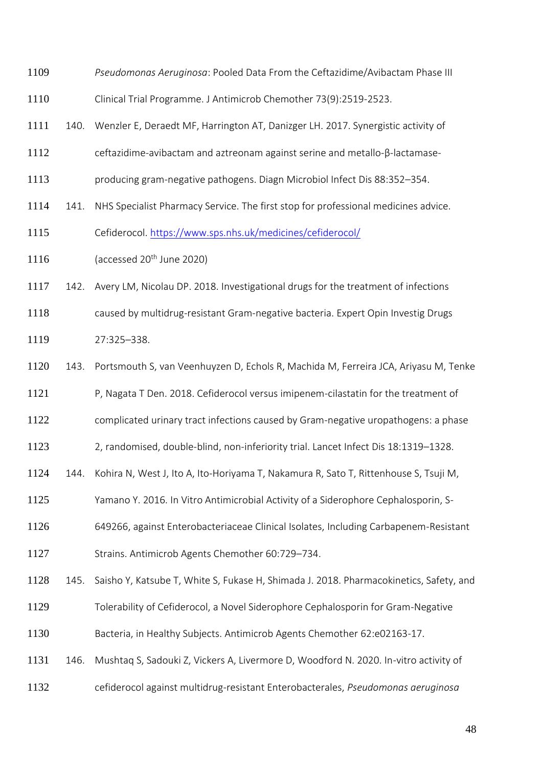- *Pseudomonas Aeruginosa*: Pooled Data From the Ceftazidime/Avibactam Phase III
- Clinical Trial Programme. J Antimicrob Chemother 73(9):2519-2523.
- 140. Wenzler E, Deraedt MF, Harrington AT, Danizger LH. 2017. Synergistic activity of
- ceftazidime-avibactam and aztreonam against serine and metallo-β-lactamase-
- producing gram-negative pathogens. Diagn Microbiol Infect Dis 88:352–354.
- 1114 141. NHS Specialist Pharmacy Service. The first stop for professional medicines advice.
- Cefiderocol.<https://www.sps.nhs.uk/medicines/cefiderocol/>
- (accessed 20<sup>th</sup> June 2020)
- 142. Avery LM, Nicolau DP. 2018. Investigational drugs for the treatment of infections
- caused by multidrug-resistant Gram-negative bacteria. Expert Opin Investig Drugs
- 27:325–338.
- 143. Portsmouth S, van Veenhuyzen D, Echols R, Machida M, Ferreira JCA, Ariyasu M, Tenke
- 1121 P, Nagata T Den. 2018. Cefiderocol versus imipenem-cilastatin for the treatment of
- complicated urinary tract infections caused by Gram-negative uropathogens: a phase
- 2, randomised, double-blind, non-inferiority trial. Lancet Infect Dis 18:1319–1328.
- 144. Kohira N, West J, Ito A, Ito-Horiyama T, Nakamura R, Sato T, Rittenhouse S, Tsuji M,
- Yamano Y. 2016. In Vitro Antimicrobial Activity of a Siderophore Cephalosporin, S-
- 649266, against Enterobacteriaceae Clinical Isolates, Including Carbapenem-Resistant
- Strains. Antimicrob Agents Chemother 60:729–734.
- 145. Saisho Y, Katsube T, White S, Fukase H, Shimada J. 2018. Pharmacokinetics, Safety, and
- Tolerability of Cefiderocol, a Novel Siderophore Cephalosporin for Gram-Negative
- Bacteria, in Healthy Subjects. Antimicrob Agents Chemother 62:e02163-17.
- 146. Mushtaq S, Sadouki Z, Vickers A, Livermore D, Woodford N. 2020. In-vitro activity of
- cefiderocol against multidrug-resistant Enterobacterales, *Pseudomonas aeruginosa*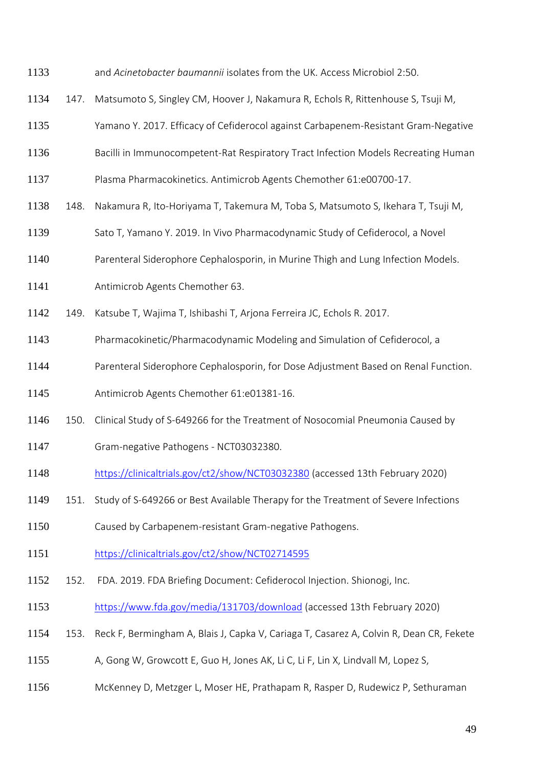- and *Acinetobacter baumannii* isolates from the UK. Access Microbiol 2:50.
- 147. Matsumoto S, Singley CM, Hoover J, Nakamura R, Echols R, Rittenhouse S, Tsuji M,
- Yamano Y. 2017. Efficacy of Cefiderocol against Carbapenem-Resistant Gram-Negative
- Bacilli in Immunocompetent-Rat Respiratory Tract Infection Models Recreating Human
- Plasma Pharmacokinetics. Antimicrob Agents Chemother 61:e00700-17.
- 148. Nakamura R, Ito-Horiyama T, Takemura M, Toba S, Matsumoto S, Ikehara T, Tsuji M,
- Sato T, Yamano Y. 2019. In Vivo Pharmacodynamic Study of Cefiderocol, a Novel
- Parenteral Siderophore Cephalosporin, in Murine Thigh and Lung Infection Models.
- Antimicrob Agents Chemother 63.
- 149. Katsube T, Wajima T, Ishibashi T, Arjona Ferreira JC, Echols R. 2017.
- Pharmacokinetic/Pharmacodynamic Modeling and Simulation of Cefiderocol, a
- Parenteral Siderophore Cephalosporin, for Dose Adjustment Based on Renal Function.
- Antimicrob Agents Chemother 61:e01381-16.
- 150. Clinical Study of S-649266 for the Treatment of Nosocomial Pneumonia Caused by
- Gram-negative Pathogens NCT03032380.
- <https://clinicaltrials.gov/ct2/show/NCT03032380> (accessed 13th February 2020)
- 151. Study of S-649266 or Best Available Therapy for the Treatment of Severe Infections
- Caused by Carbapenem-resistant Gram-negative Pathogens.
- <https://clinicaltrials.gov/ct2/show/NCT02714595>
- 152. FDA. 2019. FDA Briefing Document: Cefiderocol Injection. Shionogi, Inc.
- <https://www.fda.gov/media/131703/download> (accessed 13th February 2020)
- 153. Reck F, Bermingham A, Blais J, Capka V, Cariaga T, Casarez A, Colvin R, Dean CR, Fekete
- 1155 A, Gong W, Growcott E, Guo H, Jones AK, Li C, Li F, Lin X, Lindvall M, Lopez S,
- McKenney D, Metzger L, Moser HE, Prathapam R, Rasper D, Rudewicz P, Sethuraman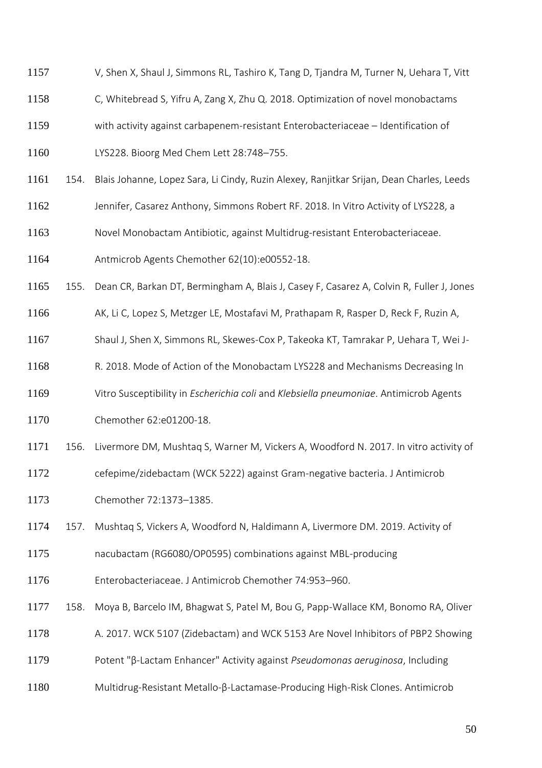- V, Shen X, Shaul J, Simmons RL, Tashiro K, Tang D, Tjandra M, Turner N, Uehara T, Vitt
- C, Whitebread S, Yifru A, Zang X, Zhu Q. 2018. Optimization of novel monobactams
- with activity against carbapenem-resistant Enterobacteriaceae Identification of
- LYS228. Bioorg Med Chem Lett 28:748–755.
- 154. Blais Johanne, Lopez Sara, Li Cindy, Ruzin Alexey, Ranjitkar Srijan, Dean Charles, Leeds
- Jennifer, Casarez Anthony, Simmons Robert RF. 2018. In Vitro Activity of LYS228, a
- Novel Monobactam Antibiotic, against Multidrug-resistant Enterobacteriaceae.
- Antmicrob Agents Chemother 62(10):e00552-18.
- 155. Dean CR, Barkan DT, Bermingham A, Blais J, Casey F, Casarez A, Colvin R, Fuller J, Jones
- AK, Li C, Lopez S, Metzger LE, Mostafavi M, Prathapam R, Rasper D, Reck F, Ruzin A,
- Shaul J, Shen X, Simmons RL, Skewes-Cox P, Takeoka KT, Tamrakar P, Uehara T, Wei J-
- R. 2018. Mode of Action of the Monobactam LYS228 and Mechanisms Decreasing In
- Vitro Susceptibility in *Escherichia coli* and *Klebsiella pneumoniae*. Antimicrob Agents
- Chemother 62:e01200-18.
- 156. Livermore DM, Mushtaq S, Warner M, Vickers A, Woodford N. 2017. In vitro activity of
- cefepime/zidebactam (WCK 5222) against Gram-negative bacteria. J Antimicrob
- Chemother 72:1373–1385.
- 157. Mushtaq S, Vickers A, Woodford N, Haldimann A, Livermore DM. 2019. Activity of
- nacubactam (RG6080/OP0595) combinations against MBL-producing
- Enterobacteriaceae. J Antimicrob Chemother 74:953–960.
- 158. Moya B, Barcelo IM, Bhagwat S, Patel M, Bou G, Papp-Wallace KM, Bonomo RA, Oliver
- A. 2017. WCK 5107 (Zidebactam) and WCK 5153 Are Novel Inhibitors of PBP2 Showing
- Potent "β-Lactam Enhancer" Activity against *Pseudomonas aeruginosa*, Including
- Multidrug-Resistant Metallo-β-Lactamase-Producing High-Risk Clones. Antimicrob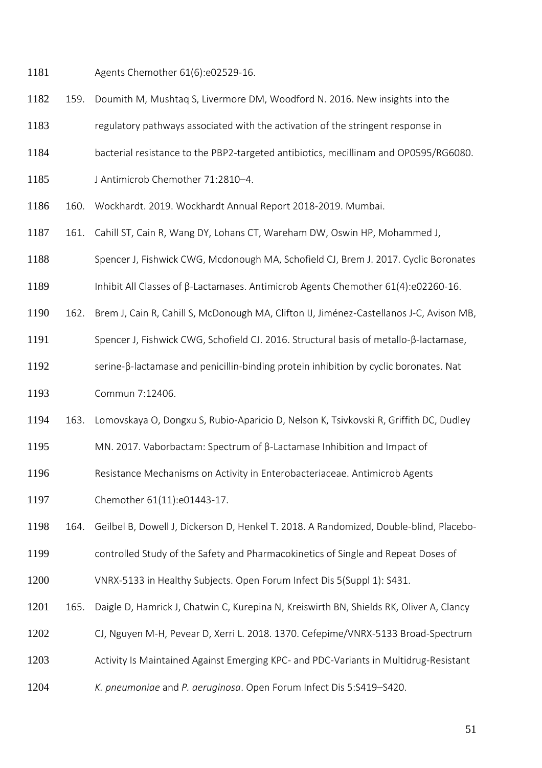Agents Chemother 61(6):e02529-16.

- 159. Doumith M, Mushtaq S, Livermore DM, Woodford N. 2016. New insights into the
- regulatory pathways associated with the activation of the stringent response in
- bacterial resistance to the PBP2-targeted antibiotics, mecillinam and OP0595/RG6080.
- J Antimicrob Chemother 71:2810–4.
- 160. Wockhardt. 2019. Wockhardt Annual Report 2018-2019. Mumbai.
- 161. Cahill ST, Cain R, Wang DY, Lohans CT, Wareham DW, Oswin HP, Mohammed J,
- 1188 Spencer J, Fishwick CWG, Mcdonough MA, Schofield CJ, Brem J. 2017. Cyclic Boronates
- Inhibit All Classes of β-Lactamases. Antimicrob Agents Chemother 61(4):e02260-16.
- 162. Brem J, Cain R, Cahill S, McDonough MA, Clifton IJ, Jiménez-Castellanos J-C, Avison MB,
- Spencer J, Fishwick CWG, Schofield CJ. 2016. Structural basis of metallo-β-lactamase,
- 1192 serine-β-lactamase and penicillin-binding protein inhibition by cyclic boronates. Nat
- Commun 7:12406.
- 163. Lomovskaya O, Dongxu S, Rubio-Aparicio D, Nelson K, Tsivkovski R, Griffith DC, Dudley
- MN. 2017. Vaborbactam: Spectrum of β-Lactamase Inhibition and Impact of
- Resistance Mechanisms on Activity in Enterobacteriaceae. Antimicrob Agents
- Chemother 61(11):e01443-17.
- 164. Geilbel B, Dowell J, Dickerson D, Henkel T. 2018. A Randomized, Double-blind, Placebo-
- controlled Study of the Safety and Pharmacokinetics of Single and Repeat Doses of
- VNRX-5133 in Healthy Subjects. Open Forum Infect Dis 5(Suppl 1): S431.
- 165. Daigle D, Hamrick J, Chatwin C, Kurepina N, Kreiswirth BN, Shields RK, Oliver A, Clancy
- CJ, Nguyen M-H, Pevear D, Xerri L. 2018. 1370. Cefepime/VNRX-5133 Broad-Spectrum
- 1203 Activity Is Maintained Against Emerging KPC- and PDC-Variants in Multidrug-Resistant
- *K. pneumoniae* and *P. aeruginosa*. Open Forum Infect Dis 5:S419–S420.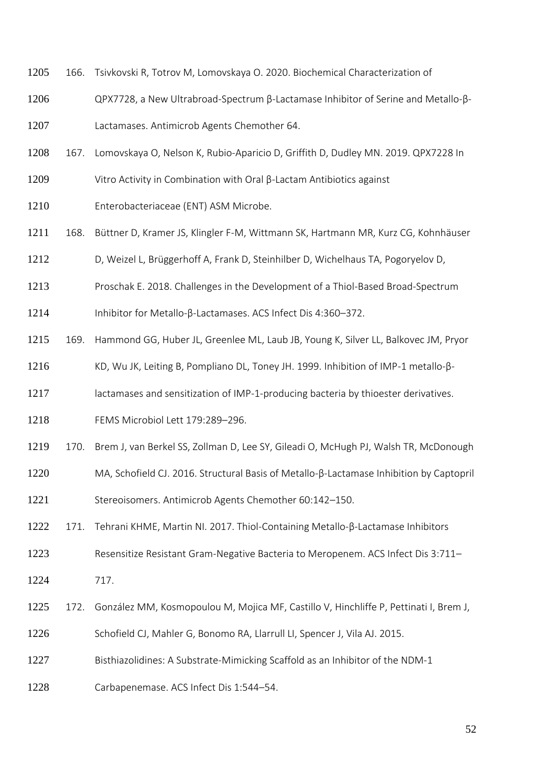- 166. Tsivkovski R, Totrov M, Lomovskaya O. 2020. Biochemical Characterization of
- QPX7728, a New Ultrabroad-Spectrum β-Lactamase Inhibitor of Serine and Metallo-β-
- Lactamases. Antimicrob Agents Chemother 64.
- 167. Lomovskaya O, Nelson K, Rubio-Aparicio D, Griffith D, Dudley MN. 2019. QPX7228 In
- Vitro Activity in Combination with Oral β-Lactam Antibiotics against
- Enterobacteriaceae (ENT) ASM Microbe.
- 168. Büttner D, Kramer JS, Klingler F-M, Wittmann SK, Hartmann MR, Kurz CG, Kohnhäuser
- D, Weizel L, Brüggerhoff A, Frank D, Steinhilber D, Wichelhaus TA, Pogoryelov D,
- Proschak E. 2018. Challenges in the Development of a Thiol-Based Broad-Spectrum
- Inhibitor for Metallo-β-Lactamases. ACS Infect Dis 4:360–372.
- 169. Hammond GG, Huber JL, Greenlee ML, Laub JB, Young K, Silver LL, Balkovec JM, Pryor
- KD, Wu JK, Leiting B, Pompliano DL, Toney JH. 1999. Inhibition of IMP-1 metallo-β-
- 1217 lactamases and sensitization of IMP-1-producing bacteria by thioester derivatives.
- FEMS Microbiol Lett 179:289–296.
- 170. Brem J, van Berkel SS, Zollman D, Lee SY, Gileadi O, McHugh PJ, Walsh TR, McDonough
- 1220 MA, Schofield CJ. 2016. Structural Basis of Metallo-β-Lactamase Inhibition by Captopril
- Stereoisomers. Antimicrob Agents Chemother 60:142–150.
- 171. Tehrani KHME, Martin NI. 2017. Thiol-Containing Metallo-β-Lactamase Inhibitors
- Resensitize Resistant Gram-Negative Bacteria to Meropenem. ACS Infect Dis 3:711–
- 717.
- 172. González MM, Kosmopoulou M, Mojica MF, Castillo V, Hinchliffe P, Pettinati I, Brem J,
- Schofield CJ, Mahler G, Bonomo RA, Llarrull LI, Spencer J, Vila AJ. 2015.
- Bisthiazolidines: A Substrate-Mimicking Scaffold as an Inhibitor of the NDM-1
- Carbapenemase. ACS Infect Dis 1:544–54.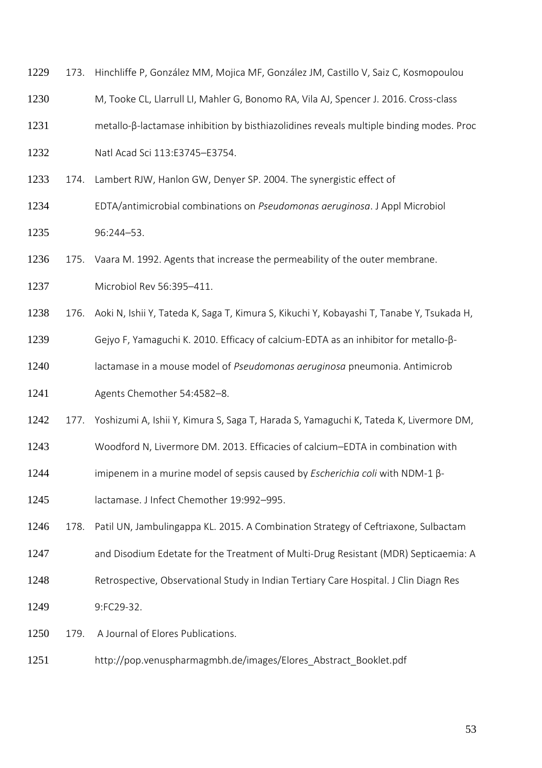| 1229 | 173. | Hinchliffe P, González MM, Mojica MF, González JM, Castillo V, Saiz C, Kosmopoulou        |
|------|------|-------------------------------------------------------------------------------------------|
| 1230 |      | M, Tooke CL, Llarrull LI, Mahler G, Bonomo RA, Vila AJ, Spencer J. 2016. Cross-class      |
| 1231 |      | metallo-ß-lactamase inhibition by bisthiazolidines reveals multiple binding modes. Proc   |
| 1232 |      | Natl Acad Sci 113:E3745-E3754.                                                            |
| 1233 | 174. | Lambert RJW, Hanlon GW, Denyer SP. 2004. The synergistic effect of                        |
| 1234 |      | EDTA/antimicrobial combinations on Pseudomonas aeruginosa. J Appl Microbiol               |
| 1235 |      | 96:244-53.                                                                                |
| 1236 | 175. | Vaara M. 1992. Agents that increase the permeability of the outer membrane.               |
| 1237 |      | Microbiol Rev 56:395-411.                                                                 |
| 1238 | 176. | Aoki N, Ishii Y, Tateda K, Saga T, Kimura S, Kikuchi Y, Kobayashi T, Tanabe Y, Tsukada H, |
| 1239 |      | Gejyo F, Yamaguchi K. 2010. Efficacy of calcium-EDTA as an inhibitor for metallo-ß-       |
| 1240 |      | lactamase in a mouse model of Pseudomonas aeruginosa pneumonia. Antimicrob                |
| 1241 |      | Agents Chemother 54:4582-8.                                                               |
| 1242 | 177. | Yoshizumi A, Ishii Y, Kimura S, Saga T, Harada S, Yamaguchi K, Tateda K, Livermore DM,    |
| 1243 |      | Woodford N, Livermore DM. 2013. Efficacies of calcium-EDTA in combination with            |
| 1244 |      | imipenem in a murine model of sepsis caused by Escherichia coli with NDM-1 ß-             |
| 1245 |      | lactamase. J Infect Chemother 19:992-995.                                                 |
| 1246 | 178. | Patil UN, Jambulingappa KL. 2015. A Combination Strategy of Ceftriaxone, Sulbactam        |
| 1247 |      | and Disodium Edetate for the Treatment of Multi-Drug Resistant (MDR) Septicaemia: A       |

Retrospective, Observational Study in Indian Tertiary Care Hospital. J Clin Diagn Res

9:FC29-32.

179. A Journal of Elores Publications.

http://pop.venuspharmagmbh.de/images/Elores\_Abstract\_Booklet.pdf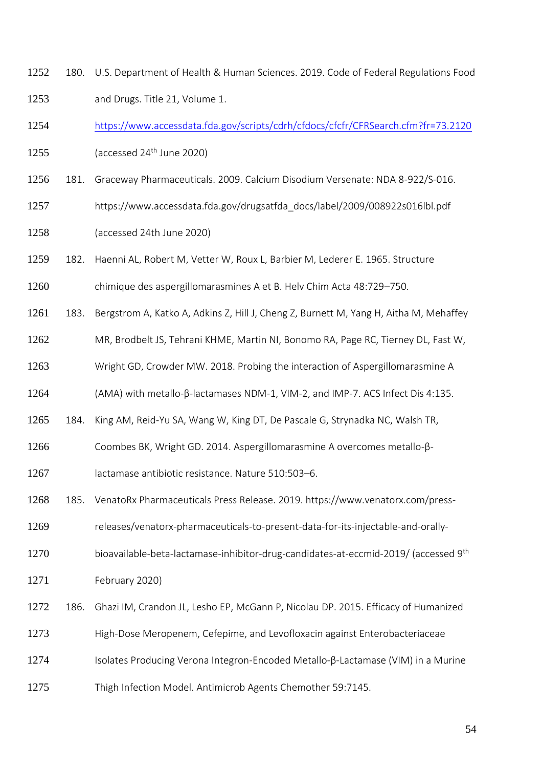- 180. U.S. Department of Health & Human Sciences. 2019. Code of Federal Regulations Food and Drugs. Title 21, Volume 1.
- <https://www.accessdata.fda.gov/scripts/cdrh/cfdocs/cfcfr/CFRSearch.cfm?fr=73.2120>
- (accessed 24<sup>th</sup> June 2020)
- 181. Graceway Pharmaceuticals. 2009. Calcium Disodium Versenate: NDA 8-922/S-016.
- https://www.accessdata.fda.gov/drugsatfda\_docs/label/2009/008922s016lbl.pdf (accessed 24th June 2020)
- 182. Haenni AL, Robert M, Vetter W, Roux L, Barbier M, Lederer E. 1965. Structure
- chimique des aspergillomarasmines A et B. Helv Chim Acta 48:729–750.
- 183. Bergstrom A, Katko A, Adkins Z, Hill J, Cheng Z, Burnett M, Yang H, Aitha M, Mehaffey
- MR, Brodbelt JS, Tehrani KHME, Martin NI, Bonomo RA, Page RC, Tierney DL, Fast W,
- Wright GD, Crowder MW. 2018. Probing the interaction of Aspergillomarasmine A
- (AMA) with metallo-β-lactamases NDM-1, VIM-2, and IMP-7. ACS Infect Dis 4:135.
- 184. King AM, Reid-Yu SA, Wang W, King DT, De Pascale G, Strynadka NC, Walsh TR,
- Coombes BK, Wright GD. 2014. Aspergillomarasmine A overcomes metallo-β-
- lactamase antibiotic resistance. Nature 510:503–6.
- 185. VenatoRx Pharmaceuticals Press Release. 2019. https://www.venatorx.com/press-
- releases/venatorx-pharmaceuticals-to-present-data-for-its-injectable-and-orally-
- 1270 bioavailable-beta-lactamase-inhibitor-drug-candidates-at-eccmid-2019/ (accessed 9<sup>th</sup>
- February 2020)
- 186. Ghazi IM, Crandon JL, Lesho EP, McGann P, Nicolau DP. 2015. Efficacy of Humanized
- High-Dose Meropenem, Cefepime, and Levofloxacin against Enterobacteriaceae
- 1274 Isolates Producing Verona Integron-Encoded Metallo-β-Lactamase (VIM) in a Murine
- Thigh Infection Model. Antimicrob Agents Chemother 59:7145.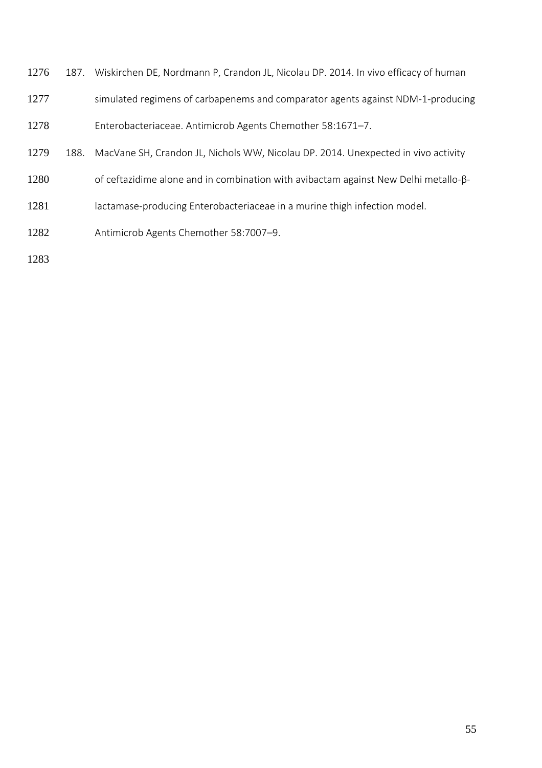- 187. Wiskirchen DE, Nordmann P, Crandon JL, Nicolau DP. 2014. In vivo efficacy of human
- 1277 simulated regimens of carbapenems and comparator agents against NDM-1-producing
- Enterobacteriaceae. Antimicrob Agents Chemother 58:1671–7.
- 188. MacVane SH, Crandon JL, Nichols WW, Nicolau DP. 2014. Unexpected in vivo activity
- of ceftazidime alone and in combination with avibactam against New Delhi metallo-β-
- 1281 lactamase-producing Enterobacteriaceae in a murine thigh infection model.
- Antimicrob Agents Chemother 58:7007–9.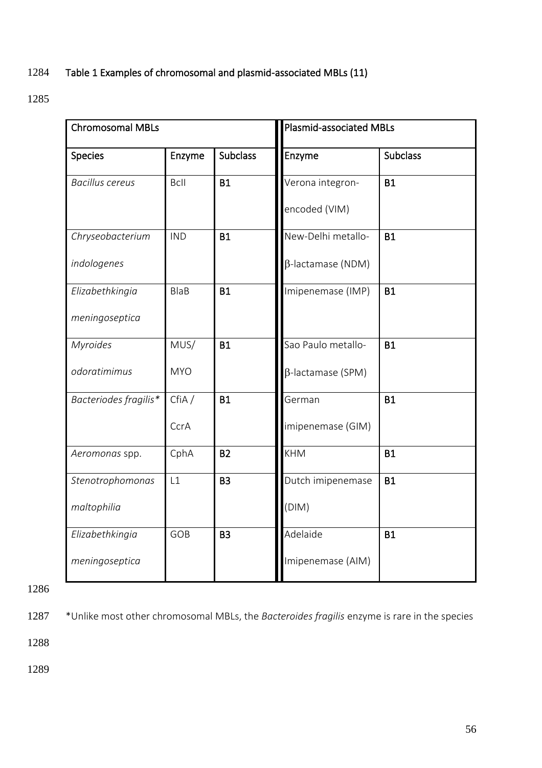# 1284 Table 1 Examples of chromosomal and plasmid-associated MBLs (11)

1285

| <b>Chromosomal MBLs</b> |             |                 | Plasmid-associated MBLs  |                 |
|-------------------------|-------------|-----------------|--------------------------|-----------------|
| <b>Species</b>          | Enzyme      | <b>Subclass</b> | Enzyme                   | <b>Subclass</b> |
| <b>Bacillus cereus</b>  | Bcll        | <b>B1</b>       | Verona integron-         | <b>B1</b>       |
|                         |             |                 | encoded (VIM)            |                 |
| Chryseobacterium        | <b>IND</b>  | <b>B1</b>       | New-Delhi metallo-       | <b>B1</b>       |
| indologenes             |             |                 | $\beta$ -lactamase (NDM) |                 |
| Elizabethkingia         | <b>BlaB</b> | <b>B1</b>       | Imipenemase (IMP)        | <b>B1</b>       |
| meningoseptica          |             |                 |                          |                 |
| <b>Myroides</b>         | MUS/        | <b>B1</b>       | Sao Paulo metallo-       | <b>B1</b>       |
| odoratimimus            | <b>MYO</b>  |                 | $\beta$ -lactamase (SPM) |                 |
| Bacteriodes fragilis*   | CfiA/       | <b>B1</b>       | German                   | <b>B1</b>       |
|                         | CcrA        |                 | imipenemase (GIM)        |                 |
| Aeromonas spp.          | CphA        | <b>B2</b>       | <b>KHM</b>               | <b>B1</b>       |
| Stenotrophomonas        | L1          | <b>B3</b>       | Dutch imipenemase        | <b>B1</b>       |
| maltophilia             |             |                 | (DIM)                    |                 |
| Elizabethkingia         | GOB         | <b>B3</b>       | Adelaide                 | <b>B1</b>       |
| meningoseptica          |             |                 | Imipenemase (AIM)        |                 |

1286

1287 \*Unlike most other chromosomal MBLs, the *Bacteroides fragilis* enzyme is rare in the species

1288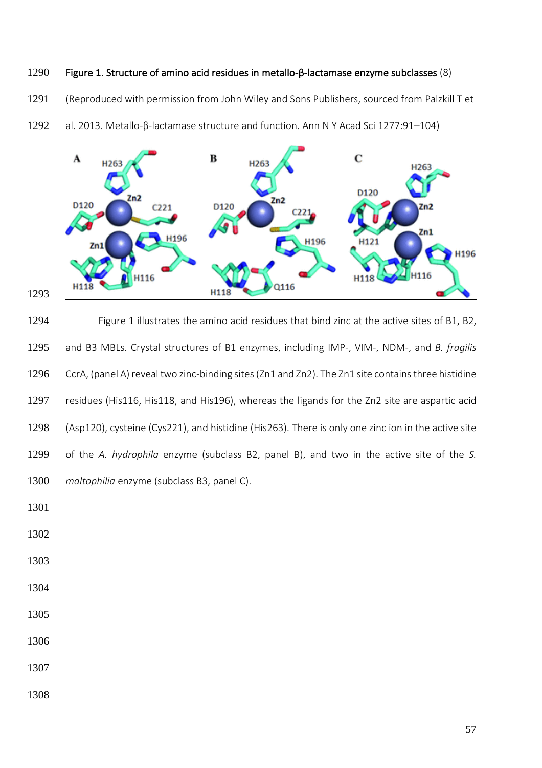## Figure 1. Structure of amino acid residues in metallo-β-lactamase enzyme subclasses (8)

- (Reproduced with permission from John Wiley and Sons Publishers, sourced from Palzkill T et
- al. 2013. Metallo-β-lactamase structure and function. Ann N Y Acad Sci 1277:91–104)



 Figure 1 illustrates the amino acid residues that bind zinc at the active sites of B1, B2, and B3 MBLs. Crystal structures of B1 enzymes, including IMP-, VIM-, NDM-, and *B. fragilis* CcrA, (panel A) reveal two zinc-binding sites (Zn1 and Zn2). The Zn1 site contains three histidine residues (His116, His118, and His196), whereas the ligands for the Zn2 site are aspartic acid (Asp120), cysteine (Cys221), and histidine (His263). There is only one zinc ion in the active site of the *A. hydrophila* enzyme (subclass B2, panel B), and two in the active site of the *S. maltophilia* enzyme (subclass B3, panel C).

- 
- 
- 
- 
- 
-